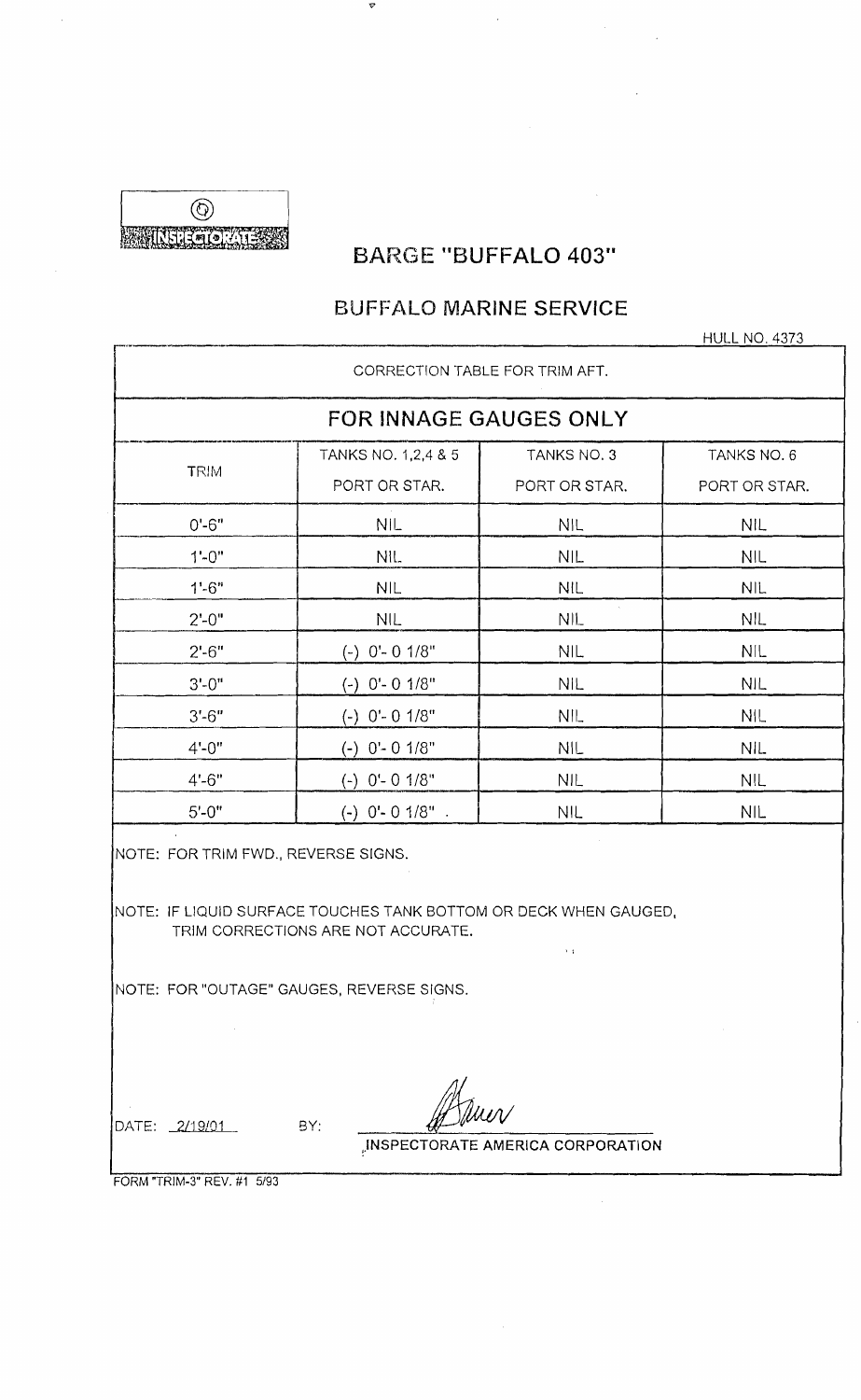@ **MURGENT CONTRACTOR** 

# **BARGE "BUFFALO 403"**

'9

# **BUFFALO MARINE SERVICE**

\_. HULL NO. 4373

|                                     | <b>FOR INNAGE GAUGES ONLY</b>                                                                                                                       |                      |               |
|-------------------------------------|-----------------------------------------------------------------------------------------------------------------------------------------------------|----------------------|---------------|
| <b>TRIM</b>                         | TANKS NO. 1,2,4 & 5                                                                                                                                 | TANKS NO. 3          | TANKS NO. 6   |
|                                     | PORT OR STAR.                                                                                                                                       | PORT OR STAR.        | PORT OR STAR. |
| $0' - 6"$                           | <b>NIL</b>                                                                                                                                          | <b>NIL</b>           | <b>NIL</b>    |
| $1 - 0$ "                           | NIL.                                                                                                                                                | NIL                  | <b>NIL</b>    |
| $1'-6''$                            | <b>NIL</b>                                                                                                                                          | <b>NIL</b>           | <b>NIL</b>    |
| $2' - 0''$                          | <b>NIL</b>                                                                                                                                          | $\mathcal{L}$<br>NIL | <b>NIL</b>    |
| $2' - 6''$                          | $(-)$ 0'- 0 1/8"                                                                                                                                    | <b>NIL</b>           | <b>NIL</b>    |
| $3' - 0''$                          | $(-)$ 0'- 0 1/8"                                                                                                                                    | <b>NIL</b>           | <b>NIL</b>    |
| $3' - 6''$                          | $(-)$ 0'- 0 1/8"                                                                                                                                    | NIL                  | <b>NIL</b>    |
| $4' - 0''$                          | $(-)$ $0' - 0$ $1/8"$                                                                                                                               | <b>NIL</b>           | <b>NIL</b>    |
| $4' - 6"$                           | $(-)$ 0'- 0 1/8"                                                                                                                                    | <b>NIL</b>           | <b>NIL</b>    |
| $5' - 0''$                          | $(-)$ 0'- 0 1/8".                                                                                                                                   | <b>NIL</b>           | NIL           |
| NOTE: FOR TRIM FWD., REVERSE SIGNS. | NOTE: IF LIQUID SURFACE TOUCHES TANK BOTTOM OR DECK WHEN GAUGED.<br>TRIM CORRECTIONS ARE NOT ACCURATE.<br>NOTE: FOR "OUTAGE" GAUGES, REVERSE SIGNS. | $\mathbf{1}$         |               |
| DATE: 2/19/01                       | BY:                                                                                                                                                 |                      |               |

FORM "TRIM-3" REV. #1 5/93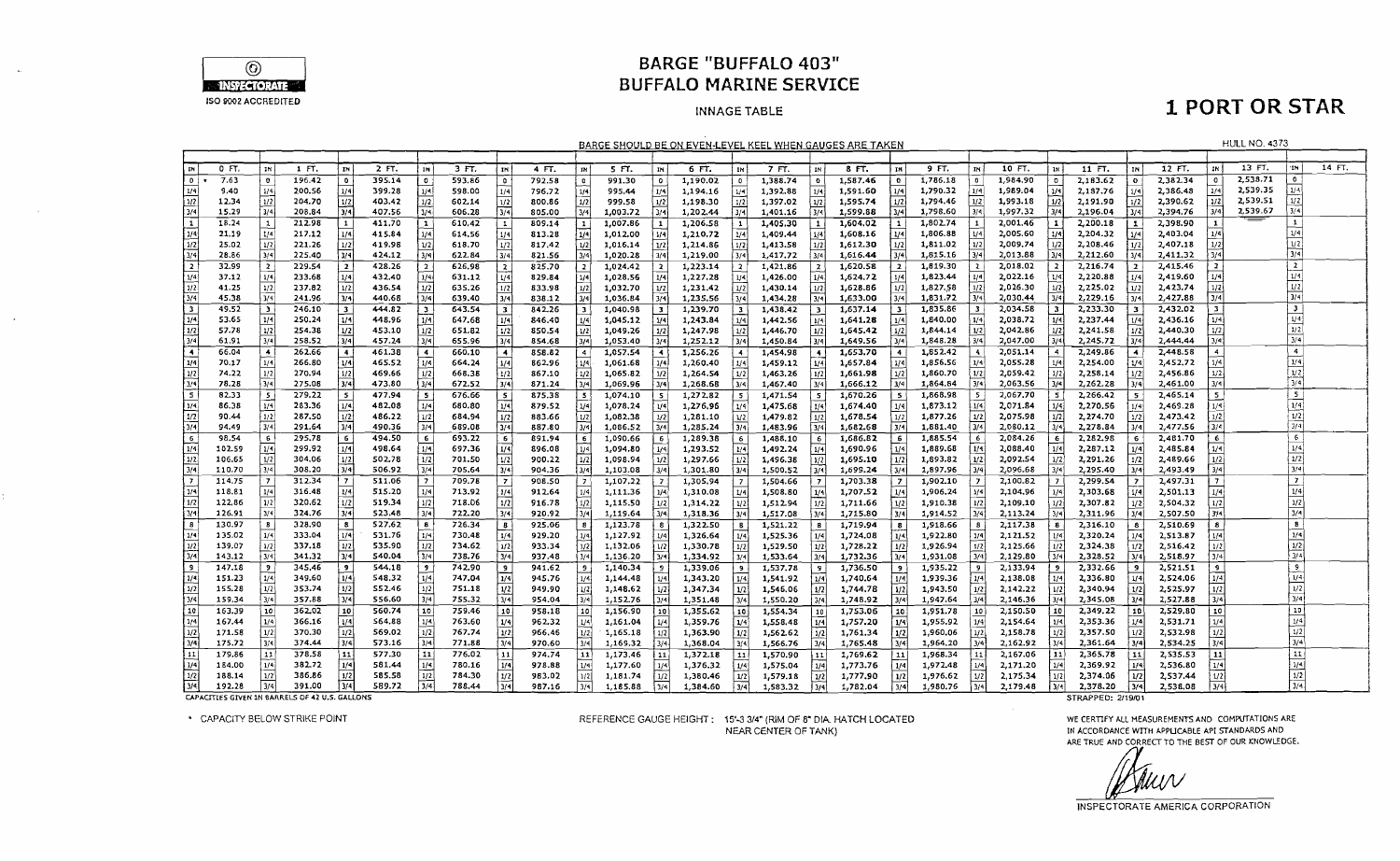

### **BARGE "BUFFALO 403" BUFFALO MARINE SERVICE**

#### **INNAGE TABLE**

## **1 PORT OR STAR**

|                                                                |                                                                                                                                                                                                                                                                                                                                                                                                                                                                                                                                                                                                                                                                                                                                                                                                                                                                                            |                |                                                |                         |        |                         |        |                |        |                         |          |                |          |                         | <u>BARGE SHOULD BE ON EVEN-LEVEL KEEL WHEN GAUGES ARE TAKEN</u> |                         |          |              |          |                         |          |                |                   |                   |          |                  | <b>HULL NO. 4373</b> |                         |        |
|----------------------------------------------------------------|--------------------------------------------------------------------------------------------------------------------------------------------------------------------------------------------------------------------------------------------------------------------------------------------------------------------------------------------------------------------------------------------------------------------------------------------------------------------------------------------------------------------------------------------------------------------------------------------------------------------------------------------------------------------------------------------------------------------------------------------------------------------------------------------------------------------------------------------------------------------------------------------|----------------|------------------------------------------------|-------------------------|--------|-------------------------|--------|----------------|--------|-------------------------|----------|----------------|----------|-------------------------|-----------------------------------------------------------------|-------------------------|----------|--------------|----------|-------------------------|----------|----------------|-------------------|-------------------|----------|------------------|----------------------|-------------------------|--------|
|                                                                |                                                                                                                                                                                                                                                                                                                                                                                                                                                                                                                                                                                                                                                                                                                                                                                                                                                                                            |                |                                                |                         |        |                         |        |                |        |                         |          |                |          |                         |                                                                 |                         |          |              |          |                         |          |                |                   |                   |          |                  |                      |                         |        |
| ไหป                                                            | 0 FT.                                                                                                                                                                                                                                                                                                                                                                                                                                                                                                                                                                                                                                                                                                                                                                                                                                                                                      | IN             | 1 FT.                                          | İт                      | 2 FT.  | IN                      | 3 FT.  | ∣m             | 4 FT.  | TH.                     | 5 FT.    | IN.            | 6 FT.    | IN                      | 7 FT.                                                           | IN                      | 8 FT.    | TN I         | 9 FT.    | IN I                    | 10 FT.   | l 114 İ        | 11 FT.            | <b>IN</b>         | 12 FT.   | IN !             | 13 FT.               | 'IN                     | 14 FT. |
| - اه ا                                                         | 7.63                                                                                                                                                                                                                                                                                                                                                                                                                                                                                                                                                                                                                                                                                                                                                                                                                                                                                       | $\bullet$      | 196.42                                         | O                       | 395.14 | $\bullet$               | 593.86 | D              | 792.58 | $\bullet$               | 991.30   | $\bullet$      | 1,190.02 | $\bullet$               | 1,388.74                                                        | $\mathbf{O}$            | 1,587.46 | $\mathbf{0}$ | 1,786.18 | $\overline{\mathbf{0}}$ | 1,984.90 | $\bullet$      | 2,183.62          | $\mathbf{o}$      | 2,382.34 | $\bullet$        | 2,538.71             | $\bullet$               |        |
| 1/4                                                            | 9.40                                                                                                                                                                                                                                                                                                                                                                                                                                                                                                                                                                                                                                                                                                                                                                                                                                                                                       | 1/4            | 200.56                                         | 1/4                     | 399.28 | 1/4                     | 598.00 | 1/4            | 796.72 | 1/4                     | 995.44   | i 1/41         | 1,194.16 | มง                      | 1,392.88                                                        | 1/4                     | 1,591.60 | 1/4          | 1,790.32 | 1/4                     | 1,989.04 | 1/4            | 2.187.76          | 1/4               | 2,386.48 | 1/4              | 2,539.35             | 1/4                     |        |
| $\frac{1/2}{3/4}$                                              | 12.34                                                                                                                                                                                                                                                                                                                                                                                                                                                                                                                                                                                                                                                                                                                                                                                                                                                                                      | 1/2            | 204.70                                         | 1/2                     | 403.42 | 1/2                     | 602.14 | 1/2            | 800.86 | 1/2                     | 999.58   | 1/2            | 1,198.30 | 1/2                     | 1,397.02                                                        | 1/2                     | 1,595.74 | 1/2          | 1,794.46 | 1/2                     | 1,993.18 | 1/2            | 2,191.90          | 1/2               | 2,390.62 | 1/2              | 2,539.51             | 1/2                     |        |
|                                                                | 15,29                                                                                                                                                                                                                                                                                                                                                                                                                                                                                                                                                                                                                                                                                                                                                                                                                                                                                      | 3/4            | 208.84                                         | $\sqrt{3}/4$            | 407.56 | 3/4                     | 606.28 | 3/4            | 805.00 | 3/4                     | 1,003.72 | 3/4            | 1,202.44 | 3/4                     | 1,401.16                                                        | 3/4                     | 1,599.88 | 3/4          | 1,798.60 | 3/4                     | 1,997.32 | 3/4            | 2.196.04          | 3/4               | 2,394.76 | 3/4              | 2,539.67             | 3/4                     |        |
| $\sqrt{1}$                                                     | 18.24                                                                                                                                                                                                                                                                                                                                                                                                                                                                                                                                                                                                                                                                                                                                                                                                                                                                                      | $\mathbf{1}$   | 212.98                                         | $\vert$ 1               | 411.70 | $\mathbf{1}$            | 610.42 | $\mathbf{1}$   | 809.14 | $\mathbf{1}$            | 1,007.86 |                | 1,206.58 |                         | 1,405.30                                                        | $\mathbf{1}$            | 1,604.02 | $\mathbf{1}$ | 1,802.74 | $\mathbf{1}$            | 2,001.46 |                | 2,200.18          | $\vert 1 \vert$   | 2,398.90 | $\mathbf{1}$     |                      | $\mathbf{1}$            |        |
| $\sqrt{1/4}$                                                   | 21.19                                                                                                                                                                                                                                                                                                                                                                                                                                                                                                                                                                                                                                                                                                                                                                                                                                                                                      | 1/4            | 217.12                                         | 1/4                     | 415.84 | 1/4                     | 614.56 | 174            | 813.28 | 1/4                     | 1,012.00 | 1/4            | 1,210.72 |                         | 1,409.44                                                        | 1/4                     | 1,608.16 | 1/4          | 1,806.88 | 1/4                     | 2,005.60 | 1/4            | 2,204.32          | ا 1/4             | 2,403.04 | 1/5              |                      | 1/4                     |        |
| 1/2                                                            | 25.02                                                                                                                                                                                                                                                                                                                                                                                                                                                                                                                                                                                                                                                                                                                                                                                                                                                                                      | 1/2            | 221.26                                         | 1/2                     | 419.98 | 1/2                     | 618.70 | 1/2            | 817,42 | 1/2                     | 1,016.14 | 1/2            | 1,214.86 | 1/2                     | 1,413.58                                                        | 1/2                     | 1,612.30 | 1/2          | 1,811.02 | ม2                      | 2,009.74 | 1/2            | 2,208.46          | $\frac{1}{2}$     | 2,407.18 | 1/2              |                      | 1/2                     |        |
| 3/4                                                            | 28.86                                                                                                                                                                                                                                                                                                                                                                                                                                                                                                                                                                                                                                                                                                                                                                                                                                                                                      | 3/4            | 225.40                                         | $\overline{3/4}$        | 424.12 | $\overline{3/4}$        | 622.84 | $\sqrt{3/4}$   | 821.56 | 3/4                     | 1,020.28 | 3/4            | 1,219.00 | 3/4                     | 1,417.72                                                        | 3/4                     | 1,616.44 | 3/4          | 1,815.16 | 3/4                     | 2,013.88 | 3/4            | 2,212.60          | $\sqrt{3/4}$      | 2,411.32 | 3/4              |                      | 3/4                     |        |
| $\frac{1}{2}$                                                  | 32.99                                                                                                                                                                                                                                                                                                                                                                                                                                                                                                                                                                                                                                                                                                                                                                                                                                                                                      | $\overline{2}$ | 229.54                                         | 2                       | 428.26 | $\overline{z}$          | 626.98 | l 2            | 825.70 | I 2                     | 1,024.42 | $\mathbf{z}$   | 1,223.14 |                         | 1,421.86                                                        | - 2                     | 1,620.58 | 2            | 1,819.30 | $\overline{2}$          | 2,018.02 | $\vert$ 2      | 2,216.74          | $\cdot$ 2 $\cdot$ | 2,415.46 | 2                |                      | $\overline{2}$          |        |
|                                                                | 37.12                                                                                                                                                                                                                                                                                                                                                                                                                                                                                                                                                                                                                                                                                                                                                                                                                                                                                      | 1/4            | 233.68                                         | 1/4                     | 432.40 | 1/4                     | 631.12 | 1/4            | 829.84 | 1/4                     | 1,028.56 | 1/4            | 1,227.28 | 1/4                     | 1,426.00                                                        | 1/4                     | 1,624.72 | 1/4          | 1,823.44 | 1/4                     | 2,022.16 | l 1741         | 2,220.88          | 1/4               | 2,419.60 | 1/4              |                      | 1/5                     |        |
| $\frac{1/4}{1/2}$                                              | 41.25                                                                                                                                                                                                                                                                                                                                                                                                                                                                                                                                                                                                                                                                                                                                                                                                                                                                                      | $1/2$          | 237.82                                         | $\overline{1/2}$        | 436.54 | 1/2                     | 635.26 | 1/2            | 833.98 | 1/2                     | 1,032.70 | 1/2            | 1,231.42 |                         | 1,430.14                                                        | 1/2                     | 1,628.86 | 1/2          | 1,827.58 | 1/2                     | 2,026.30 | 1/2            | 2,225.02          | l 1/2 l           | 2,423.74 | 1/2              |                      | 1/2                     |        |
| 3/4                                                            | 45.38                                                                                                                                                                                                                                                                                                                                                                                                                                                                                                                                                                                                                                                                                                                                                                                                                                                                                      | 3/4            | 241.96                                         | $\sqrt{3/4}$            | 440.68 | 3/4                     | 639.40 | 3/4            | 838.12 | $\sqrt{3}/4$            | 1,036.84 | 3741           | 1,235.56 | 3/4                     | 1,434.28                                                        | 3/4                     | 1,633.00 | 3/4          | 1,831.72 | 3/4                     | 2,030.44 | 3/4            | 2,229.16          | 3/4               | 2,427.88 | 3/4              |                      | 3/4                     |        |
| l 3 l                                                          | 49.52                                                                                                                                                                                                                                                                                                                                                                                                                                                                                                                                                                                                                                                                                                                                                                                                                                                                                      | $\mathbf{B}$   | 246.10                                         | Įз                      | 444.82 | $\overline{\mathbf{3}}$ | 643.54 | 3              | 842.26 | $\overline{\mathbf{3}}$ | 1,040.98 | $\mathbf{3}$   | 1,239.70 | $\overline{\mathbf{3}}$ | 1,438.42                                                        | $\overline{\mathbf{3}}$ | 1,637.14 | $\mathbf{3}$ | 1,835.86 | 3 <sub>1</sub>          | 2,034.58 | 3 <sup>1</sup> | 2,233.30          | 31                | 2,432.02 | $\mathbf{3}$     |                      | $\overline{\mathbf{3}}$ |        |
| 1/4                                                            | 53.65                                                                                                                                                                                                                                                                                                                                                                                                                                                                                                                                                                                                                                                                                                                                                                                                                                                                                      | 1/4            | 250.24                                         | 1/4                     | 448.96 | 1/4                     | 647.68 | 1/4            | 846.40 | 1/4                     | 1,045.12 | 1/4            | 1,243.84 | 1/4                     | 1,442.56                                                        | 1/4                     | 1,641.28 | 1/4          | 1,840.00 | 1/4                     | 2,038.72 | 1/4            | 2,237.44          | 1/4               | 2,436.16 | 1/4              |                      | 1/4                     |        |
| $\frac{1}{2}$                                                  | 57.78                                                                                                                                                                                                                                                                                                                                                                                                                                                                                                                                                                                                                                                                                                                                                                                                                                                                                      | 1/2            | 254.38                                         | 1/2                     | 453.10 | $\frac{1}{2}$           | 651.82 | $\sqrt{1/2}$   | 850.54 | 1/2                     | 1,049.26 | 1/2            | 1,247.98 | 1/2                     | 1,446.70                                                        | 1/2                     | 1,645.42 | 1/2          | 1,844.14 | 1/2                     | 2.042.86 | 1/2            | 2,241.58          | 1/2               | 2,440.30 | 1/2              |                      | 1/2                     |        |
| 3/4                                                            | 3/4<br>3/4<br>3/4<br>3/4<br>3/4<br>258.52<br>3/4<br>3/4<br>ا 1/4<br>1,848.28<br>3/4<br>3/4<br>2,245.72<br>3/4<br>2,444.44<br>61.91<br>457.24<br>655.96<br>854.68<br>1,053.40<br>3/4<br>1,252.12<br>3/4<br>1,649.56<br>2,047.00<br>1,450.84<br>3/4<br>$\ddot{a}$<br>2,448.58<br>$\ddot{a}$<br>66.04<br>$\blacktriangleleft$<br>262.66<br>1,653.70<br>1,852.42<br>$\blacktriangleleft$<br>2,051.14<br>2,249.86<br>-4-1<br>$\overline{4}$<br>461.38<br>$\blacktriangleleft$<br>660.10<br>$\blacktriangleleft$<br>858.82<br>$\sim$<br>1,057.54<br>1,256.26<br>1,454.98<br>$\ddot{ }$<br>$\sim$<br>$\blacktriangleleft$<br>$\blacktriangleleft$<br>1/4<br>1/4<br>1/4<br> 1/4 <br>465.52<br>1,856.56<br>2,254.00<br>2,452,72<br>1/4<br>70.17<br>266.80<br>664.24<br>862.96<br>1/4<br>1/4<br>1,260.40<br>1,657.84<br>1/4<br>2,055.28<br>1/4<br>1/4<br>1,061.68<br>ا 1/4<br>1,459.12<br>1/4<br>1/4 |                |                                                |                         |        |                         |        |                |        |                         |          |                |          |                         |                                                                 |                         |          |              |          |                         |          |                |                   |                   |          |                  |                      |                         |        |
| $\overline{4}$                                                 | 1/4                                                                                                                                                                                                                                                                                                                                                                                                                                                                                                                                                                                                                                                                                                                                                                                                                                                                                        |                |                                                |                         |        |                         |        |                |        |                         |          |                |          |                         |                                                                 |                         |          |              |          |                         |          |                |                   |                   |          |                  |                      |                         |        |
| 1/4                                                            | 1/2<br>74.22<br>270.94<br>469.66<br>668.38<br>1/2<br>1,661.98<br>1/2<br>1,860.70<br>1/2<br>2,059.42<br>1/2<br>2,258.14<br>2,456.86<br>1/2.<br>867.10<br>1,065.82<br>1.264.54<br>1,463.26<br>1/2                                                                                                                                                                                                                                                                                                                                                                                                                                                                                                                                                                                                                                                                                            |                |                                                |                         |        |                         |        |                |        |                         |          |                |          |                         |                                                                 |                         |          |              |          |                         |          |                |                   |                   |          |                  |                      |                         |        |
| 1/2                                                            |                                                                                                                                                                                                                                                                                                                                                                                                                                                                                                                                                                                                                                                                                                                                                                                                                                                                                            |                |                                                |                         |        |                         |        |                |        |                         |          |                |          |                         |                                                                 |                         |          |              |          |                         |          |                |                   |                   |          |                  |                      |                         |        |
|                                                                |                                                                                                                                                                                                                                                                                                                                                                                                                                                                                                                                                                                                                                                                                                                                                                                                                                                                                            |                |                                                |                         |        |                         |        |                |        |                         |          |                |          |                         |                                                                 |                         |          |              |          |                         |          |                |                   |                   |          |                  |                      |                         |        |
|                                                                | $1/2$<br>1/2<br>1/2<br>1/2<br>  1/2 <br>1/2<br> 1/2 <br>$\sqrt{3/4}$<br>$\sqrt{3/4}$<br>$\frac{3/4}{5}$<br>3/4<br>3/4<br>$\sqrt{3}/4$<br>3/4<br>[3/4]<br>3/4<br>3/4<br>3/4<br>3/4<br>78.28<br>275.08<br>473.80<br> 3/4 <br>  3/4 <br>1,864.84<br>2,063.56<br>2,262.28<br>2,461.00<br>672.52<br>871.24<br>1,069.96<br>1,268.68<br>1,467.40<br>3/4)<br>1,666.12<br>5 <sub>1</sub><br>5<br>82.33<br>279.22<br>  5<br>477.94<br>676.66<br>5<br>875.38<br>1,670.26<br>2,266.42<br>2,465.14<br>$\overline{5}$<br>$\overline{\mathbf{5}}$<br>1,074.10<br>1.272.82<br>1,868.98<br>2,067.70<br>-5<br>$\sim$<br>5<br>1,471.54<br>5<br>$\overline{\phantom{0}}$<br>5 <sup>5</sup><br>-5                                                                                                                                                                                                               |                |                                                |                         |        |                         |        |                |        |                         |          |                |          |                         |                                                                 |                         |          |              |          |                         |          |                |                   |                   |          |                  |                      |                         |        |
| 1/4                                                            | 1/4<br>  1/4<br>1/3<br>1/4<br>283.36<br>482.08<br>1/4<br>680.80<br>1/4<br>1,276,96<br>1.873.12<br>- 1/4<br>2,071.84<br>2,270.56<br>2,469.28<br>1/4<br>86.38<br>879.52<br>1,078.24<br>1/4<br>1,475.68<br>1,674.40<br>1/4<br>1/4<br> 1/4 <br>1/9<br>1/4                                                                                                                                                                                                                                                                                                                                                                                                                                                                                                                                                                                                                                      |                |                                                |                         |        |                         |        |                |        |                         |          |                |          |                         |                                                                 |                         |          |              |          |                         |          |                |                   |                   |          |                  |                      |                         |        |
| 1/2                                                            |                                                                                                                                                                                                                                                                                                                                                                                                                                                                                                                                                                                                                                                                                                                                                                                                                                                                                            |                |                                                |                         |        |                         |        |                |        |                         |          |                |          |                         |                                                                 |                         |          |              |          |                         |          |                |                   |                   |          |                  |                      |                         |        |
| 3/4                                                            | 1/2 <br> 1/2<br>1/2<br>90.44<br>287.50<br>486.22<br>1/2<br>$\frac{1}{2}$<br>1/2<br>1,678.54<br>1,877.26<br>1/2<br>2,075.98<br>1/2<br>2,274.70<br>1/2<br>2,473.42<br>1/2<br>684.94<br>883.66<br>1,082.38<br>1/2<br>1,281.10<br> V2 <br>1,479.82<br>1/2<br>1/2<br>3/4<br>$\sqrt{3/4}$<br>$\sqrt{3/4}$<br>3/4<br>3/4<br>3/4<br>3/4<br>3/4<br>3/4<br>3/4<br>3/4<br>3/4<br>2,278.84<br>3/4<br>2,477.56<br>94.49<br>291.64<br>490.36<br>689.08<br>887.80<br>1,086.52<br>1,285.24<br>1,682.68<br>1,881.40<br>2,060.12<br>1,483.96<br>3/4                                                                                                                                                                                                                                                                                                                                                          |                |                                                |                         |        |                         |        |                |        |                         |          |                |          |                         |                                                                 |                         |          |              |          |                         |          |                |                   |                   |          |                  |                      |                         |        |
| İσ                                                             | 98.54                                                                                                                                                                                                                                                                                                                                                                                                                                                                                                                                                                                                                                                                                                                                                                                                                                                                                      | 6 <sup>5</sup> | 295.78                                         | İб                      | 494.50 | -6                      | 693.22 | $\epsilon$     | 891.94 | -6                      | 1,090.66 | - 6            | 1.289.38 | - 6                     | 1,488.10                                                        | -61                     | 1,686.82 | -6           | 1,885.54 | - 6                     | 2.084.26 | -61            | 2,282.98          | - 6               | 2,481.70 | 6                |                      | $\overline{6}$          |        |
| 1/4                                                            | 102.59                                                                                                                                                                                                                                                                                                                                                                                                                                                                                                                                                                                                                                                                                                                                                                                                                                                                                     | 1/4            | 299.92                                         | 1/4                     | 498,64 | 1/4                     | 697.36 | 1/4            | 896.08 | 1/4                     | 1,094.80 | ا 1⁄4          | 1,293.52 | 1/4                     | 1,492.24                                                        | 1/4                     | 1,690.96 | 1/4          | 1,889.68 | 1/4                     | 2,088.40 | 1/4            | 2,287.12          | 1/4               | 2,485.84 | 1/4              |                      | 1/4                     |        |
|                                                                | 106.65                                                                                                                                                                                                                                                                                                                                                                                                                                                                                                                                                                                                                                                                                                                                                                                                                                                                                     | 1/2            | 304,06                                         |                         | 502.78 | 1/2                     | 701.50 | 1/2            | 900.22 | 1/2                     | 1,098.94 | 1/2            | 1,297.66 | 1/2                     | 1,496.38                                                        |                         | 1,695.10 | 1/2          | 1,893.82 | 1/2                     | 2,092.54 | 1/2            | 2,291.26          | 1/2               | 2,489.66 | 1/2              |                      | 1/2                     |        |
|                                                                | 110.70                                                                                                                                                                                                                                                                                                                                                                                                                                                                                                                                                                                                                                                                                                                                                                                                                                                                                     | 3/4            | 308.20                                         | $\frac{1/2}{3/4}$       | 506.92 | 3/4                     | 705.64 | 3/4            | 904.36 | 3/4                     | 1,103.08 | 3/4)           | 1,301.80 | 3/4                     | 1,500.52                                                        | 1/2<br>3/4              | 1,699.24 | ا3/4         | 1,897.96 | 3/4                     | 2,096.68 | 3/4            | 2,295.40          | 3/4               | 2,493.49 | 3/4              |                      | 3/4                     |        |
| $\frac{1/2}{3/4}$                                              | 114.75                                                                                                                                                                                                                                                                                                                                                                                                                                                                                                                                                                                                                                                                                                                                                                                                                                                                                     | $\overline{z}$ | 312.34                                         | l 7.                    | 511.06 | $\overline{z}$          | 709.78 | $\overline{z}$ |        | $\overline{7}$          |          |                |          |                         |                                                                 |                         |          |              | 1,902.10 | $\overline{7}$          | 2,100.82 | 7 <sup>1</sup> | 2,299.54          | $\overline{z}$    | 2,497.31 | 17               |                      | $\overline{7}$          |        |
| $\sqrt{1/4}$                                                   | 118.81                                                                                                                                                                                                                                                                                                                                                                                                                                                                                                                                                                                                                                                                                                                                                                                                                                                                                     | 1/4            | 316.48                                         |                         | 515.20 | 1/4                     |        | 1/4            | 908.50 | 1/4                     | 1,107.22 | $\overline{7}$ | 1,305.94 | $\mathbf{7}$            | 1,504.66                                                        | 7 <sup>1</sup>          | 1,703.38 | $\mathbf{z}$ |          |                         |          |                |                   |                   |          |                  |                      | 1/4                     |        |
| $\sqrt{1/2}$                                                   |                                                                                                                                                                                                                                                                                                                                                                                                                                                                                                                                                                                                                                                                                                                                                                                                                                                                                            |                |                                                | 1/4                     |        |                         | 713.92 |                | 912.64 |                         | 1,111.36 | 1/4            | 1,310.08 | 1/4                     | 1,508.80                                                        | 1/4                     | 1,707.52 | 1/4          | 1,906.24 | 1/4                     | 2,104.96 | 1/4            | 2,303.68          | 1/4               | 2,501.13 | 1/4              |                      | 1/2                     |        |
| 3/4                                                            | 122.86                                                                                                                                                                                                                                                                                                                                                                                                                                                                                                                                                                                                                                                                                                                                                                                                                                                                                     | 1/2            | 320.62                                         | 1/2<br>3/4              | 519.34 | 1/2                     | 718.06 | 1/2            | 916.78 | 1/2                     | 1,115.50 | 1/2            | 1,314,22 | 1/2                     | 1,512.94                                                        | 1/2                     | 1,711.66 | 1/2          | 1,910.38 | 1/2                     | 2,109.10 | 1/2            | 2,307.82          | 1/2               | 2,504.32 | 1/2              |                      | 3/4                     |        |
| 厅                                                              | 126.91                                                                                                                                                                                                                                                                                                                                                                                                                                                                                                                                                                                                                                                                                                                                                                                                                                                                                     | 3/4            | 324.76                                         |                         | 523.48 | 3/4                     | 722.20 | 3/4            | 920.92 | 3/4                     | 1,119.64 | 1/4            | 1,318.36 | 3/4                     | 1,517.08                                                        | 3/4                     | 1,715.80 | 3/4          | 1,914.52 | 3/4                     | 2,113.24 | 3/4            | 2,311.96          | 3/4               | 2,507.50 | 314              |                      |                         |        |
|                                                                | 130.97                                                                                                                                                                                                                                                                                                                                                                                                                                                                                                                                                                                                                                                                                                                                                                                                                                                                                     | $\mathbf{B}$   | 328.90                                         | $\overline{\mathbf{g}}$ | 527.62 | $\mathbf{B}$            | 726.34 | $\overline{B}$ | 925.06 | $\mathbf{g}$            | 1,123.78 | $\mathbf{B}$   | 1,322.50 | $\mathbf{B}$            | 1,521.22                                                        | $\mathbf{B}$            | 1,719.94 | - 8          | 1,918.66 |                         | 2,117.38 | B              | 2,316.10          | $\mathbf{8}$      | 2,510.69 | $\bf{8}$         |                      | $\mathbf{B}$            |        |
| 1/4                                                            | 135.02                                                                                                                                                                                                                                                                                                                                                                                                                                                                                                                                                                                                                                                                                                                                                                                                                                                                                     | 1/4            | 333.04                                         | 1/4                     | 531.76 | 1/4                     | 730.48 | 1/4            | 929.20 | 1/9                     | 1,127.92 | 1/4            | 1,326.64 | 1/4                     | 1,525.36                                                        | 1/4                     | 1,724.08 | 1/4          | 1,922.80 |                         | 2,121.52 | 1/4            | 2,320.24          | 1/4               | 2,513.87 | 1/4              |                      | 1/4                     |        |
| 1/2                                                            | 139.07                                                                                                                                                                                                                                                                                                                                                                                                                                                                                                                                                                                                                                                                                                                                                                                                                                                                                     | 1/2            | 337.18                                         | $1/2$                   | 535.90 | 1/2                     | 734.62 | 1/2            | 933.34 | 1/2                     | 1,132.06 | 1/2            | 1,330.78 | 1/2                     | 1,529.50                                                        | 1/2                     | 1,728.22 | 1/2          | 1,926.94 | 1/2                     | 2,125.66 | 1/2            | 2,324.38          | 1/2               | 2,516.42 | 1/2              |                      | 1/2                     |        |
| 3/4                                                            | 143.12                                                                                                                                                                                                                                                                                                                                                                                                                                                                                                                                                                                                                                                                                                                                                                                                                                                                                     | 3/4            | 341.32                                         | $\sqrt{3/4}$            | 540.04 | 3/4                     | 738.76 | $\frac{3}{4}$  | 937.48 | 3/4                     | 1,136.20 | 3/4            | 1,334.92 | 3/4                     | 1,533.64                                                        | 3/4                     | 1,732.36 | 3/4          | 1,931.08 | 3/4                     | 2,129.80 | 3/4            | 2,328.52          | 3/1               | 2,518.97 | 3/4              |                      | 3/4                     |        |
| ाि                                                             | 147.18                                                                                                                                                                                                                                                                                                                                                                                                                                                                                                                                                                                                                                                                                                                                                                                                                                                                                     | -9             | 345.46                                         | - 9                     | 544.18 | - 9                     | 742.90 | $\overline{9}$ | 941.62 | 9                       | 1,140.34 | <b>P</b>       | 1,339.06 | - 19                    | 1,537.78                                                        | -9                      | 1,736.50 | وأ           | 1,935.22 |                         | 2,133.94 | ا و ا          | 2,332.66          | -9                | 2,521.51 | و ا              |                      | و                       |        |
| $\frac{1/4}{1/2}$                                              | 151.23                                                                                                                                                                                                                                                                                                                                                                                                                                                                                                                                                                                                                                                                                                                                                                                                                                                                                     | 1/4            | 349.60                                         | 1/4                     | 548.32 | 1/4                     | 747.04 | 1/4            | 945.76 | 1/4                     | 1,144.48 | 1/4            | 1,343.20 | 1/4                     | 1,541.92                                                        | 1/4                     | 1,740.64 | 1/4          | 1,939.36 | 1/4                     | 2,138.08 | 1/4            | 2,336.80          | 1/4               | 2,524.06 | 1/4              |                      | $1/4$                   |        |
|                                                                | 155.28                                                                                                                                                                                                                                                                                                                                                                                                                                                                                                                                                                                                                                                                                                                                                                                                                                                                                     | 1/2            | 353.74                                         | 1/2                     | 552.46 | $1/2$                   | 751.18 | 1/2            | 949.90 | 1/2                     | 1,148.62 | 1/2            | 1,347.34 | 1/2                     | 1,546.06                                                        | 1/2                     | 1,744.78 | 1/2          | 1,943.50 | 1/2                     | 2,142.22 | 1/2            | 2,340.94          | 1/2               | 2,525.97 | $\overline{1/2}$ |                      | 1/2                     |        |
| $\sqrt{3/4}$                                                   | 159,34                                                                                                                                                                                                                                                                                                                                                                                                                                                                                                                                                                                                                                                                                                                                                                                                                                                                                     | 3/4            | 357.88                                         | $\overline{3/4}$        | 556.60 | 3/4                     | 755.32 | 3/4            | 954.04 | 3/4                     | 1,152.76 | 3/4            | 1,351.48 | 3/4                     | 1,550.20                                                        | 3/4                     | 1,748.92 | 3/4          | 1,947.64 | 3/4                     | 2,146.36 | 3/4            | 2,345.08          | 3/4               | 2,527.88 | 3/9              |                      | 3/4                     |        |
| $\begin{array}{ c c }\n\hline\n10 \\ \hline\n1/4\n\end{array}$ | 163.39                                                                                                                                                                                                                                                                                                                                                                                                                                                                                                                                                                                                                                                                                                                                                                                                                                                                                     | 10             | 362.02                                         | 10                      | 560.74 | 10                      | 759.46 | 10             | 958.18 | 10                      | 1,156.90 | 10             | 1,355.62 | 10                      | 1,554.34                                                        | 10 <sub>1</sub>         | 1,753.06 | 10           | 1,951.78 | $10^{\circ}$            | 2,150.50 | 10             | 2,349.22          | 10                | 2,529.80 | 10               |                      | 10                      |        |
|                                                                | 167.44                                                                                                                                                                                                                                                                                                                                                                                                                                                                                                                                                                                                                                                                                                                                                                                                                                                                                     | 1/4            | 366.16                                         | 1/4                     | 564.88 | 1/4                     | 763.60 | 1/4            | 962.32 | 1/4                     | 1,161.04 | 1/4            | 1,359.76 | 1/4                     | 1,558.48                                                        | 1/4                     | 1,757.20 | 1/4          | 1,955.92 | 1/4                     | 2,154.64 | 1/4            | 2,353.36          | 1/4               | 2,531.71 | 1/4              |                      | 1/4                     |        |
| 1/2                                                            | 171.58                                                                                                                                                                                                                                                                                                                                                                                                                                                                                                                                                                                                                                                                                                                                                                                                                                                                                     | 1/2            | 370.30                                         | 1/2                     | 569.02 | 1/2                     | 767.74 | 1/2            | 966.46 | 1/2                     | 1,165.18 | 1/2            | 1,363.90 | 1/2                     | 1,562.62                                                        | 1/2                     | 1,761.34 | 1/2          | 1,960.06 | 1/2                     | 2,158.78 | 1/2            | 2,357.50          | 1/2               | 2,532.98 | 1/2              |                      | 1/2                     |        |
| $\sqrt{3/4}$                                                   | 175.72                                                                                                                                                                                                                                                                                                                                                                                                                                                                                                                                                                                                                                                                                                                                                                                                                                                                                     | 13/4           | 374.44                                         | 3/4                     | 573.16 | 3/4                     | 771.88 | 3/4            | 970.60 | 3/4                     | 1,169.32 | 3/4            | 1,368.04 | 3/4                     | 1,566.76                                                        | 3/4                     | 1,765.48 | 3/4          | 1,964.20 | 3/4                     | 2,162.92 | 3/4            | 2,361.64          | 3/4               | 2,534.25 | 3/4              |                      | 3/4                     |        |
| 11                                                             | 179.86                                                                                                                                                                                                                                                                                                                                                                                                                                                                                                                                                                                                                                                                                                                                                                                                                                                                                     | 11             | 378.58                                         | 11                      | 577.30 | 11                      | 776.02 | 11             | 974.74 | $ 11\rangle$            | 1,173.46 | 11             | 1.372.18 | 11                      | 1,570.90                                                        | 11                      | 1,769.62 | 11           | 1,968.34 | 11                      | 2,167.06 | 11             | 2,365.78          | 11                | 2,535.53 | 11               |                      | $\overline{11}$         |        |
| 1/4                                                            | 184.00                                                                                                                                                                                                                                                                                                                                                                                                                                                                                                                                                                                                                                                                                                                                                                                                                                                                                     | 1/4            | 382.72                                         | 1/4                     | 581.44 | 1/4                     | 780.16 | 1/4            | 978.88 | 1/1                     | 1,177.60 | 1/4            | 1,376.32 | 1/4                     | 1,575.04                                                        | 1/4                     | 1,773.76 | 1/4          | 1,972.48 | 1/4                     | 2,171.20 | 1/4            | 2,369.92          | 1/4               | 2,536.80 | 1/4              |                      | 1/4                     |        |
| $\sqrt{1/2}$                                                   | 188.14                                                                                                                                                                                                                                                                                                                                                                                                                                                                                                                                                                                                                                                                                                                                                                                                                                                                                     | 1/2            | 386.86                                         | $\overline{1/2}$        | 585.58 | $\overline{1/2}$        | 784.30 | 1/2            | 983.02 | 1/2                     | 1,181.74 | 1/2            | 1,380.46 | 1/2                     | 1,579.18                                                        | 1/2                     | 1,777,90 | 1/2          | 1,976.62 | 1/2                     | 2.175.34 | 1/2            | 2,374.06          | 1/2               | 2,537.44 | 1/2              |                      | 1/2                     |        |
| 3/4                                                            | 192.28                                                                                                                                                                                                                                                                                                                                                                                                                                                                                                                                                                                                                                                                                                                                                                                                                                                                                     | 3/4            | 391.00                                         | 3/41                    | 589.72 | ا 3/4                   | 788.44 | 3/4            | 987.16 | 3/4                     | 1,185.88 | 3/4            | 1,384.60 | 3/4                     | 1,583.32                                                        | 3/4                     | 1,782.04 | 3/4          | 1,980.76 | 3/4                     | 2,179.48 | 3/4            | 2,378.20          | 3/4               | 2,538.08 | 3/4              |                      | 3/4                     |        |
|                                                                |                                                                                                                                                                                                                                                                                                                                                                                                                                                                                                                                                                                                                                                                                                                                                                                                                                                                                            |                | CAPACITIES GIVEN IN BARRELS OF 42 U.S. GALLONS |                         |        |                         |        |                |        |                         |          |                |          |                         |                                                                 |                         |          |              |          |                         |          |                | STRAPPED: 2/19/01 |                   |          |                  |                      |                         |        |

\* CAPACITY BELOW STRIKE POINT

REFERENCE GAUGE HEIGHT: 15'-3 3/4" (RIM OF 8" DIA. HATCH LOCATED NEAR CENTER OF TANK)

WE CERTIFY ALL MEASUREMENTS AND COMPUTATIONS ARE IN ACCORDANCE WITH APPLICABLE API STANDARDS AND ARE TRUE AND CORRECT TO THE BEST OF OUR KNOWLEDGE.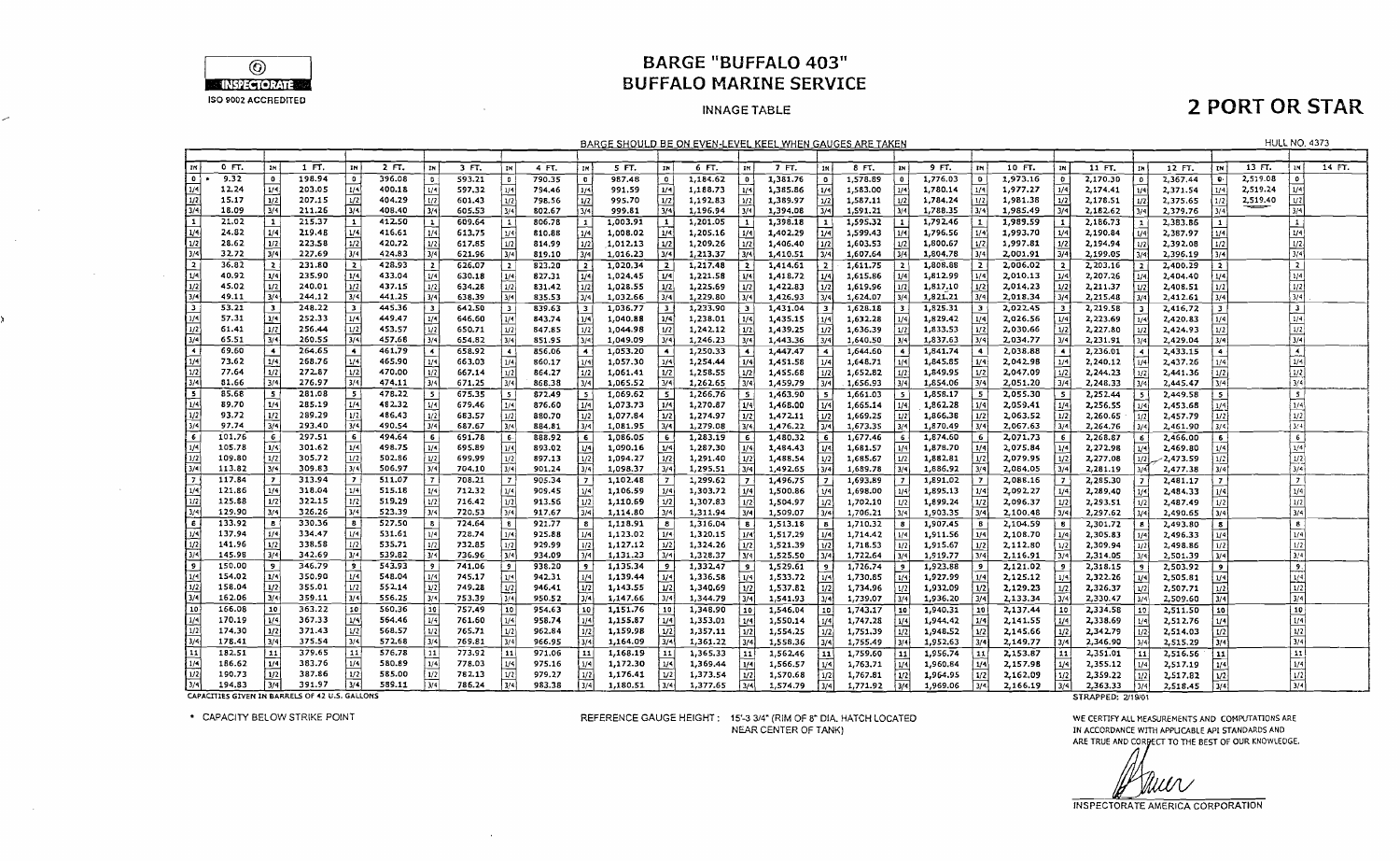

۶

 $\sim 10$ 

 $\sim$   $\alpha$ 

 $\sim 10^{-11}$ 

 $\sim 100$ 

 $\sim 10^7$ 

λ

 $\sim$ 

### **BARGE "BUFFALO 403" BUFFALO MARINE SERVICE**

#### **INNAGE TABLE**

## **2 PORT OR STAR**

|                                                                     |         |                         |        |                          |        |                             |        |                                 |        |                          |          |                         | BARGE SHOULD BE ON EVEN-LEVEL KEEL WHEN GAUGES ARE TAKEN |                         |          |                          |          |                |          |                  |                      |                         |                      |                          |                      |                         |          | <b>HULL NO. 4373</b>    |        |
|---------------------------------------------------------------------|---------|-------------------------|--------|--------------------------|--------|-----------------------------|--------|---------------------------------|--------|--------------------------|----------|-------------------------|----------------------------------------------------------|-------------------------|----------|--------------------------|----------|----------------|----------|------------------|----------------------|-------------------------|----------------------|--------------------------|----------------------|-------------------------|----------|-------------------------|--------|
|                                                                     |         |                         |        |                          |        |                             |        |                                 |        |                          |          |                         |                                                          |                         |          |                          |          |                |          |                  |                      |                         |                      |                          |                      |                         |          |                         |        |
| l zm.                                                               | $0$ FT. |                         | 1 FT.  | IN.                      | 2 FT.  | <b>TH</b>                   | 3 FT.  | IH                              | 4 FT.  | IN                       | 5 FT.    | IN                      | 6 FT.                                                    | IN                      | 7 FT.    | 1N                       | 8 FT.    |                | 9 FT.    | IN               | 10 FT.               | IN                      | 11 FT.               | 1H                       | 12 FT.               | TN.                     | 13 FT.   |                         | 14 FT. |
| ⊺∙                                                                  | 9.32    | $\mathbf{0}$            | 198.94 | $\circ$                  | 396.08 | $\mathbf{0}$                | 593.21 | $\overline{\phantom{a}}$        | 790.35 | $\bullet$                | 987.48   | $\mathbf 0$             | 1,184.62                                                 | $\bullet$               | 1,381.76 | $\bullet$                | 1,578.89 | 0              | 1,776.03 | $\circ$          | 1,973.16             | $\circ$                 | 2,170.30             |                          | 2,367.44             | о.                      | 2,519.08 |                         |        |
| 1/4                                                                 | 12.24   | 1/4                     | 203.05 | 1/4                      | 400.18 |                             | 597.32 | 1/4                             | 794.46 | 1/4                      | 991.59   | 1/4                     | 1,188.73                                                 | 1/4                     | 1,385.86 | 1/4                      | 1,583.00 |                | 1,780.14 | 1/4.             | 1,977.27             | 1/4                     | 2,174.41             | 1/4                      | 2,371.54             | 1/4                     | 2,519.24 |                         |        |
| 1/2                                                                 | 15.17   | 1/2                     | 207.15 | 1/2                      | 404.29 | 1/2                         | 601.43 | 1/2                             | 798.56 | 1/2                      | 995.70   | 1/2                     | 1,192.83                                                 | 1/2                     | 1,389.97 | 1/2                      | 1,587.11 | 1/2            | 1,784.24 | 1/2              | 1,981.38             | 1/2                     | 2,178.51             | 1/2                      | 2,375.65             | 1/2                     | 2,519.40 |                         |        |
| $\sqrt{3/4}$                                                        | 18.09   | 3/4                     | 211.26 | 3/4                      | 408.40 | 3/4                         | 605.53 | 3/4                             | 802.67 | 3/4                      | 999.81   | 3/4                     | 1,196.94                                                 | 3/4                     | 1,394.08 | 3/4                      | 1,591.21 | 3/4            | 1,788.35 | 374              | 1,985.49             | $\sqrt{3/4}$            | 2,182.62             | 13/4                     | 2,379.76             | 3/4                     |          | 3/4                     |        |
| 「1                                                                  | 21.02   | $\mathbf{1}$            | 215.37 | $\mathbf{1}$             | 412.50 | $\mathbf{1}$                | 609.64 | $\mathbf{1}$                    | 806.78 | $\mathbf{1}$             | 1,003.91 | $\mathbf{1}$            | 1,201.05                                                 | $\mathbf{1}$            | 1,398.18 |                          | 1,595,32 |                | 1,792.46 |                  | 1,989.59             | $\mathbf{1}$            | 2,186.73             |                          | 2,383.86             | $\mathbf{1}$            |          | $\mathbf{1}$            |        |
| 1/4                                                                 | 24.82   | 1/4                     | 219.48 | 1/4                      | 416.61 | 1/4                         | 613.75 | 1/4                             | 810.88 | 1/4                      | 1,008.02 | 1/4                     | 1,205.16                                                 | 1/4                     | 1,402.29 | 1/4                      | 1,599.43 | 1/4            | 1,796.56 | 1/4              | 1,993.70             | 1/4                     | 2,190.84             | 1/4                      | 2,387.97             | 1/4                     |          | 1/4                     |        |
| 1/2                                                                 | 28.62   | 1/2                     | 223.58 | 1/2                      | 420.72 | 1/2                         | 617.85 | 1/2                             | 814.99 | 1/2                      | 1,012.13 | 1/2                     | 1,209.26                                                 | 1/2                     | 1,406.40 | 1/2                      | 1,603.53 | 1/2            | 1,800.67 | 1/2              | 1,997.81             | 1/2                     | 2,194.94             | 1/2                      | 2,392.08             | 1/2                     |          | 1/2                     |        |
| 3/4                                                                 | 32.72   | 3/4                     | 227.69 | 3/4                      | 424.83 | 3/4                         | 621.96 | 3/4                             | 819.10 | 3/4                      | 1,016.23 | 3/4                     | 1,213.37                                                 | 3/4                     | 1,410.51 | $\overline{3}/4$         | 1,607.64 | 3/4            | 1,804.78 | 3/4              | 2,001.91             | 3/4                     | 2,199.05             | 3/4                      | 2,396.19             | 3/4                     |          | 3/4                     |        |
| l 2                                                                 | 36.82   | $\overline{ }$          | 231.80 | $\overline{2}$           | 428.93 |                             | 626.07 | $\overline{2}$                  | 823,20 | $\overline{2}$           | 1,020.34 | $\overline{2}$          | 1,217.48                                                 |                         | 1,414.61 | $\overline{ }$           | 1,611.75 | $\overline{2}$ | 1,808.88 |                  | 2,006.02             | $\overline{2}$          | 2.203.16             | $\overline{z}$           | 2,400.29             | $\overline{2}$          |          | $\overline{2}$          |        |
| ا»u ا                                                               | 40.92   | 1/4                     | 235.90 | 1/4                      | 433.04 | 1/4                         | 630.18 | 1/4                             | 827.31 |                          | 1,024.45 | 1/4                     | 1,221.58                                                 | 1/4                     | 1,418.72 | 1/4                      | 1,615.86 | 1/4            | 1,812.99 | 1/4              | 2,010.13             | 1/4                     | 2,207.26             | 1/4                      | 2,404.40             | 1/4                     |          | 1/4                     |        |
| 1/2                                                                 | 45.02   | 1/2                     | 240.01 | 1/2                      | 437.15 | 1/2                         | 634.28 | 1/2                             | 831.42 | 1/2                      | 1,028.55 | 1/2                     | 1,225.69                                                 | 1/2                     | 1,422.83 | 1/2                      | 1,619.96 | 1/2            | 1,817.10 | 1/2              | 2,014.23             | 1/2                     | 2.211.37             | 1/2                      | 2,408.51             | 1/2                     |          | 1/2                     |        |
| l 3/4                                                               | 49.11   | 3/4                     | 244.12 | 3/4                      | 441.25 | 3/4                         | 638.39 | 3/4                             | 835.53 | 3/4                      | 1,032.66 | 3/4                     | 1,229.80                                                 | 3/4                     | 1,426.93 | 3/                       | 1,624.07 | 3/4            | 1,821.21 | 3/4              | 2,018.34             | 3/4                     | 2,215.48             | 3/4                      | 2,412.61             | 3/4                     |          | 3/4                     |        |
| l 3.                                                                | 53.21   | $\overline{\mathbf{3}}$ | 248.22 |                          | 445.36 | $\overline{\mathbf{3}}$     | 642.50 | - 3                             | 839.63 | $\overline{\mathbf{3}}$  | 1,036.77 | $\overline{\mathbf{3}}$ | 1,233.90                                                 | $\overline{\mathbf{3}}$ | 1,431.04 |                          | 1,628.18 |                | 1,825.31 | $\mathbf{a}$     | 2,022.45             | $\overline{\mathbf{3}}$ | 2,219.58             | $\overline{\mathbf{3}}$  | 2,416,72             | $\overline{\mathbf{3}}$ |          | $\mathbf{3}$            |        |
| 1/4                                                                 | 57.31   | 1/4                     | 252.33 | 1/4                      | 449.47 | 1/4                         | 646.60 | 1/4                             | 843.74 |                          | 1,040.88 | 1/4                     | 1,238.01                                                 | 1/4                     | 1,435.15 |                          | 1,632.28 |                | 1,829.42 |                  | 2.026.56             | 1/4                     | 2,223.69             |                          | 2,420.83             | 1/4                     |          | 1/4                     |        |
| ا 1/2                                                               | 61.41   | 1/2                     | 256.44 | 1/2                      | 453.57 | 1/2                         | 650.71 | 1/2                             | 847.85 | 1/4                      | 1,044.98 | 1/2                     | 1,242.12                                                 | 1/2                     | 1,439.25 | 1/2                      | 1,636.39 |                | 1,833.53 | 1/4<br>  1/2     | 2,030.66             | $\overline{1}/2$        |                      | 1/4                      |                      |                         |          | 1/2                     |        |
|                                                                     | 65.51   | $\overline{3/4}$        | 260.55 | 3/4                      | 457,68 | 3/4                         | 654.82 | 3/4                             | 851.95 | 1/2<br>3/4               | 1,049.09 | 3/4                     | 1,246.23                                                 | 3/4                     | 1,443.36 | 31 <sup>4</sup>          | 1.640.50 | 3/4            | 1,837.63 | $\sqrt{3}/4$     | 2,034.77             | 3/4                     | 2,227.80<br>2,231.91 | 1/2<br>3/4               | 2,424.93<br>2,429.04 | 1/2<br>3/4              |          | 3/4                     |        |
| $\frac{3/4}{4}$                                                     | 69.60   | $\bullet$               | 264.65 | $\blacktriangleleft$     | 461.79 |                             |        |                                 |        |                          |          |                         |                                                          |                         |          |                          |          | $\ddot{ }$     |          | $\overline{4}$   |                      | $\ddot{\phantom{1}}$    |                      |                          |                      |                         |          | $\blacktriangleleft$    |        |
| 1/4                                                                 | 73.62   | 1/4                     | 268.76 | 1/4                      | 465.90 | $\blacktriangleleft$<br>1/4 | 658.92 | $\overline{\phantom{a}}$<br>1/4 | 856.06 | $\overline{\phantom{a}}$ | 1,053.20 | $\blacktriangleleft$    | 1,250.33<br>1,254.44                                     |                         | 1,447.47 | $\overline{\phantom{a}}$ | 1,644.60 | 1/4            | 1,841.74 |                  | 2,038.88<br>2,042.98 | 1/4                     | 2,236.01<br>2.240.12 | $\blacktriangleleft$     | 2,433.15<br>2,437.26 | $\ddot{\phantom{a}}$    |          | 1/4                     |        |
| 1/2                                                                 | 77.64   | 1/2                     | 272.87 | 1/2                      | 470.00 |                             | 663.03 |                                 | 860.17 |                          | 1,057.30 | 1/4<br>1/2              |                                                          | 1/4                     | 1,451.58 | 1/4                      | 1,648.71 |                | 1,845.85 | 1/4              |                      |                         |                      | 1/4                      |                      |                         |          |                         |        |
| 3/4                                                                 | 81.66   | 3/4                     | 276.97 | 3/4                      | 474.11 | 3/4                         | 667.14 | 1/2<br>3/4                      | 864.27 | 1/2<br>7⁄4 أ             | 1,061.41 | 3/4                     | 1,258.55                                                 | 1/2                     | 1,455.68 | 1/2                      | 1,652.82 | 1/2            | 1,849.95 | 1/2<br>3/4       | 2,047.09             | 1/2<br>3/4              | 2,244.23             | 1/2                      | 2,441.36             | 1/2<br>3/4              |          | 1/2 <br>3/4             |        |
|                                                                     |         |                         |        |                          |        |                             | 671.25 |                                 | 868.38 |                          | 1,065.52 |                         | 1.262.65                                                 | 3/4                     | 1,459.79 | 3/4                      | 1,656.93 | 3/4            | 1,854.06 |                  | 2,051.20             |                         | 2,248.33             | 3/4                      | 2,445.47             |                         |          |                         |        |
| İs                                                                  | 85.68   | -5                      | 281.08 | -5                       | 478.22 | - 5 1                       | 675.35 | 5                               | 872.49 | 5                        | 1,069.62 | - 5                     | 1,266.76                                                 | - 5                     | 1,463.90 | -5                       | 1,661.03 | - 5            | 1,858.17 | $5^{\circ}$      | 2,055.30             | - 5                     | 2,252.44             | -5                       | 2,449.58             | $\sim$                  |          | $\overline{\mathbf{s}}$ |        |
| $_{1/4}$<br>$\sqrt{n}$                                              | 89.70   | 1/4                     | 285.19 | 1/4                      | 482.32 | 1/4                         | 679,46 | 1/4                             | 876.60 | 1/4                      | 1,073.73 | 1/4                     | 1,270.87                                                 | 1/4                     | 1,468.00 |                          | 1.665.14 | 1/4            | 1,862.28 | 1/4              | 2,059,41             |                         | 2,256.55             | 1/4                      | 2,453.68             | 1/4                     |          | 1/4                     |        |
|                                                                     | 93.72   | 1/2                     | 289.29 | 1/2                      | 486.43 | 1/2                         | 683.57 | 1/2                             | 880,70 | l 1/2                    | 1,077.84 | 1/2                     | 1,274.97                                                 | 1/2                     | 1,472.11 | 1/2                      | 1,669.25 | 1/2            | 1,866.38 | 1/2              | 2,063.52             | 1/2                     | 2,260.65             | 1/2                      | 2,457.79             | 1/2                     |          | 1/2                     |        |
| 3/4                                                                 | 97.74   | 3/4                     | 293.40 | 3/4                      | 490.54 | 3/4                         | 687.67 | 3/4                             | 884.81 | $\sqrt{3/4}$             | 1,081.95 | 3/4                     | 1,279.08                                                 | 3/4                     | 1,476.22 | 3/4                      | 1,673.35 | 3/4            | 1,870.49 | 3/4              | 2,067.63             | 3/4                     | 2,264.76             | 3/4                      | 2,461.90             | 3/4                     |          | 3/4                     |        |
| $\overline{6}$<br>$\sqrt{1/4}$                                      | 101.76  | -6                      | 297.51 | 6                        | 494.64 | 6 <sup>1</sup>              | 691.78 | 6                               | 888.92 | 6                        | 1,086.05 | - 6                     | 1,283.19                                                 | -6                      | 1,480.32 | - 6                      | 1,677.46 | -6             | 1,874.60 | -6               | 2,071.73             | 6                       | 2,268.87             | $\epsilon$               | 2,466.00             | $6\phantom{.}6$         |          | $6 \mid$                |        |
|                                                                     | 105.78  | 1/4                     | 301.62 | 1/4                      | 498.75 | 1/4                         | 695.89 | 1/4                             | 893.02 | 1/4                      | 1,090.16 | 1/4                     | 1,287.30                                                 | 1/4                     | 1,464.43 | 1/4                      | 1,681.57 | 1/4            | 1,878.70 | 1/4              | 2,075.84             |                         | 2,272.98             |                          | 2,469.80             |                         |          | 1/4                     |        |
| 1/2                                                                 | 109.80  | 1/2                     | 305.72 | 1/2                      | 502.86 | 1/2                         | 699.99 | 1/2                             | 897.13 | 1/2                      | 1,094.27 | 1/2                     | 1,291.40                                                 | 1/2                     | 1,488.54 | 1/2                      | 1,685.67 | 1/2            | 1,882.81 | 1/2              | 2,079.95             | 1/2                     | 2,277.08             | 1/2                      | -2,473.59            | 1/2                     |          | $\frac{1/2}{3/4}$       |        |
| 3/4                                                                 | 113.82  | 3/4                     | 309.83 | 3/4                      | 506.97 | 3/4                         | 704.10 | $\sqrt{3/4}$                    | 901,24 | 1/4                      | 1,098.37 | 3/4                     | 1,295.51                                                 | 3/4                     | 1,492.65 | 3/4                      | 1,689.78 | 3/4            | 1,886.92 | $\overline{3/4}$ | 2,084.05             | 3/4                     | 2,281.19             |                          | 2,477.38             | 3/4                     |          |                         |        |
| $\mathbf{z}$                                                        | 117.84  | $\overline{z}$          | 313.94 | $\overline{\phantom{a}}$ | 511.07 | 7 <sup>1</sup>              | 708.21 | $\overline{7}$                  | 905.34 | $\overline{z}$           | 1,102.48 |                         | 1,299.62                                                 | $\overline{z}$          | 1,496.75 |                          | 1,693.89 | $\mathbf{z}$   | 1,891.02 |                  | 2,088.16             | $\mathbf{r}$            | 2,285.30             |                          | 2,481.17             | $\mathbf{r}$            |          | $\overline{z}$          |        |
| $\sqrt{1/4}$                                                        | 121.86  |                         | 318.04 | 1/4                      | 515.18 | 1/4                         | 712.32 | 1/4                             | 909.45 | l 1/4                    | 1,106.59 | 1/4                     | 1,303.72                                                 | 1/4                     | 1,500.86 | 1/4                      | 1,698.00 | 1/4            | 1,895.13 | 1/4              | 2,092.27             | 1/4                     | 2,289.40             |                          | 2,484.33             | 1/4                     |          | 1/4                     |        |
| $\sqrt{1/2}$                                                        | 125.88  | 1/2                     | 322.15 | 1/2                      | 519,29 | 1/2                         | 716.42 | $ y_2 $                         | 913.56 | 11/2                     | 1,110.69 | 1/2                     | 1,307.83                                                 | 1/2                     | 1,504.97 | 1/2                      | 1,702.10 | 1/2            | 1,899.24 | 1/2              | 2,096.37             | 1/2                     | 2,293.51             | 1/2                      | 2,487.49             | 1/2                     |          | 1/2                     |        |
| $3/4$                                                               | 129.90  | 3/4                     | 326.26 | 3/4                      | 523.39 | ا 13/4                      | 720.53 | 3/4                             | 917.67 | 3/4                      | 1,114.80 | 3/4                     | 1,311.94                                                 | 3/4                     | 1,509.07 | 3/4                      | 1,706.21 | 3/4            | 1,903.35 | 3/4              | 2,100.48             | 3/4                     | 2,297.62             | برو.                     | 2,490.65             | 3/4                     |          | 3/4                     |        |
| Γε                                                                  | 133.92  |                         | 330.36 | 8                        | 527.50 | $\mathbf{B}$                | 724,64 | <b>B</b>                        | 921.77 | $\mathbf{B}$             | 1,118.91 | $\boldsymbol{B}$        | 1,316.04                                                 | -8                      | 1,513.18 |                          | 1,710.32 | $\mathbf{g}$   | 1,907.45 | -8               | 2,104.59             |                         | 2,301.72             |                          | 2,493.80             | $\mathbf{g}$            |          | $\mathbf{s}$            |        |
| 1/4                                                                 | 137.94  | 1/4                     | 334.47 | 1/4                      | 531.61 | 1/4                         | 728.74 | 1/4                             | 925.88 | 1/4                      | 1,123.02 | 1/4                     | 1,320.15                                                 | 1/4                     | 1,517.29 | 1/4                      | 1,714.42 | 1/4            | 1,911.56 | 1/4              | 2,108.70             | 1/4                     | 2,305.83             | 1/4                      | 2,496.33             | 1/4                     |          | 1/4                     |        |
|                                                                     | 141.96  | 1/2                     | 338.58 | 1/2                      | 535.71 | 1/2                         | 732.85 | 1/2                             | 929.99 | $\sqrt{1/2}$             | 1,127.12 | 1/2                     | 1,324.26                                                 | 1/2                     | 1,521.39 | 1/2                      | 1,718.53 | 1/2            | 1,915.67 | 1/2              | 2,112.80             | 1/2                     | 2,309.94             | $\overline{\mathcal{D}}$ | 2,498.86             | 1/2                     |          | 1/2                     |        |
| $\frac{1}{2} \left  \frac{\omega}{\omega} \right  \geq \frac{1}{2}$ | 145.98  | 3/4                     | 342.69 | 3/4                      | 539.82 | 3/4                         | 736.96 | 3/4                             | 934.09 | $\sqrt{3}/4$             | 1,131.23 | 3/4                     | 1,328.37                                                 | 3/5                     | 1,525.50 | 3/4                      | 1,722.64 | 3/4            | 1,919.77 | 3/4              | 2,116.91             | 31 <sup>4</sup>         | 2,314.05             |                          | 2,501.39             | $\sqrt{3/4}$            |          | $\frac{3/4}{9}$         |        |
|                                                                     | 150.00  | 9                       | 346.79 | -91                      | 543.93 |                             | 741.06 | وإ                              | 938.20 | $^{\circ}$               | 1,135.34 | ļ9                      | 1,332.47                                                 | -9                      | 1,529.61 | -9                       | 1,726.74 |                | 1,923.88 |                  | 2,121.02             |                         | 2,318.15             | -9                       | 2,503.92             | $\overline{9}$          |          |                         |        |
|                                                                     | 154.02  | 1/4                     | 350.90 | 1/4                      | 548.04 | 1/4                         | 745.17 | 1/4                             | 942.31 | 1/4                      | 1,139.44 | 1/4                     | 1,336.58                                                 | 1/4                     | 1,533.72 | 1/4                      | 1,730.85 | 1/4            | 1,927.99 | 1/4              | 2,125.12             |                         | 2,322.26             | 1/4                      | 2,505.81             | 1/4                     |          | $\frac{1/4}{1/2}$       |        |
| $\sqrt{1/2}$                                                        | 158.04  | 1/2                     | 355.01 | 1/2                      | 552.14 | 1/2                         | 749.28 | 1/2                             | 946.41 | $\sqrt{1/2}$             | 1,143.55 | $\mathbf{H}^2$          | 1,340.69                                                 | 1/2                     | 1,537.82 | 1/2                      | 1,734.96 | 1/2            | 1,932.09 | 1/2              | 2,129.23             | 1/2                     | 2,326.37             | U <sub>2</sub>           | 2,507.71             | 1/2                     |          |                         |        |
| 3/4                                                                 | 162.06  | ا 14                    | 359.11 | 3/4                      | 556.25 | 3/4                         | 753.39 | 3/4                             | 950.52 | $\sqrt{3/4}$             | 1,147.66 | $\sqrt{3/4}$            | 1,344.79                                                 | 3/4                     | 1,541.93 | 3/4                      | 1,739.07 |                | 1.936.20 | 3/4              | 2,133,34             | 3/4                     | 2,330.47             | 3/4                      | 2,509.60             | $\sqrt{3/4}$            |          | 3/4                     |        |
| 10                                                                  | 166.08  | 10                      | 363.22 | 10 <sub>1</sub>          | 560.36 | 10                          | 757.49 | 10                              | 954.63 | F10                      | 1,151.76 | 10                      | 1,348.90                                                 | 110                     | 1,546.04 | 10                       | 1,743.17 | 10 ا           | 1,940.31 | 10               | 2,137.44             | 10                      | 2,334.58             | 19                       | 2,511.50             | 10 ا                    |          | 10                      |        |
| $\mathbf{L}$ /4                                                     | 170.19  | 1/4                     | 367.33 | 1/4                      | 564.46 | 1/4                         | 761.60 | 1/4                             | 958.74 | 4 ا                      | 1,155.87 | 1/4                     | 1,353.01                                                 | 1/4                     | 1,550,14 | 1/4                      | 1,747.28 | 1/4            | 1,944.42 |                  | 2,141.55             | 1/4                     | 2,338.69             |                          | 2,512.76             | 1/4                     |          | 1/4                     |        |
| l 1/2                                                               | 174.30  | 1/2                     | 371.43 | 1/2                      | 568.57 | 1/2                         | 765.71 | 1/2                             | 962.84 | 1/2                      | 1,159.98 | 1/2                     | 1,357.11                                                 | 1/2                     | 1.554.25 | 1/2                      | 1,751.39 | 1/2            | 1,948.52 | 1/2              | 2,145.66             | 1/2                     | 2,342.79             |                          | 2.514.03             | 1/2                     |          | 1/2                     |        |
| 3/4                                                                 | 178.41  | ا 3/4                   | 375.54 | 3/4                      | 572.68 | ا در ا                      | 769.81 | 3/4                             | 966.95 | $\overline{3/4}$         | 1,164.09 | 3/4                     | 1,361.22                                                 |                         | 1,558.36 | 3/4                      | 1,755.49 | 3/4            | 1,952.63 | 3/4              | 2,149.77             | 3/4                     | 2,346.90             |                          | 2,515.29             | 3/4                     |          | $\sqrt{3/4}$            |        |
| 11                                                                  | 182.51  | 11                      | 379.65 | 11                       | 576.78 | 11                          | 773.92 | 11                              | 971.06 | 11                       | 1,168.19 | 11                      | 1,365.33                                                 | 11                      | 1,562.46 | $\overline{1}$           | 1,759.60 | 11             | 1,956.74 | 11               | 2,153.87             | 11                      | 2,351.01             | 11                       | 2,516.56             | 11                      |          | $\mathbf{M}$            |        |
| 1/4                                                                 | 186.62  | 1/4                     | 383.76 | 1/4                      | 580.89 | 1/4                         | 778.03 | 1/4                             | 975.16 | 1/4                      | 1,172.30 | 1/4                     | 1,369.44                                                 |                         | 1,566.57 |                          | 1,763.71 |                | 1,960.84 | 1/4              | 2,157.98             |                         | 2,355.12             |                          | 2,517.19             | 1/4                     |          | 1/4                     |        |
| $\sqrt{2}$                                                          | 190.73  | $\frac{1}{2}$           | 387.86 | 1/2                      | 585.00 | $\overline{1/2}$            | 782.13 | U <sub>2</sub>                  | 979.27 | 1/2                      | 1,176.41 | 1/2                     | 1,373.54                                                 | 1/2                     | 1,570.68 | 1/2                      | 1,767.81 | 1/2            | 1,964.95 | 1/2              | 2,162.09             | 1/2                     | 2,359.22             | 1/2                      | 2,517.82             | l v2                    |          | $\overline{1/2}$        |        |
| $\sqrt{3/4}$                                                        | 194.83  | 13/4                    | 391.97 | 3/4                      | 589.11 | i val                       | 786.24 | 3/4                             | 983.38 | 3/4                      | 1.180.51 | 3/41                    | 1.377.65                                                 | 3/4                     | 1.574.79 | $\overline{3/4}$         | 1.771.92 | أتهردا         | 1.969.06 | 3/4              | 2.166.19             | $\overline{\mathbb{R}}$ | 2.363.33             | $\overline{114}$         | 2.518.45             | $\sqrt{2/4}$            |          | $\overline{v}$          |        |

CAPACITIES GIVEN IN BARRELS OF 42 U.S. GALLONS

\* CAPACITY BELOW STRIKE POINT

REFERENCE GAUGE HEIGHT: 15'-3 3/4" (RIM OF 8" DIA. HATCH LOCATED NEAR CENTER OF TANK)

STRAPPED: 2/19/01

WE CERTIFY ALL MEASUREMENTS AND COMPUTATIONS ARE IN ACCORDANCE WITH APPLICABLE API STANDARDS AND ARE TRUE AND CORPECT TO THE BEST OF OUR KNOWLEDGE.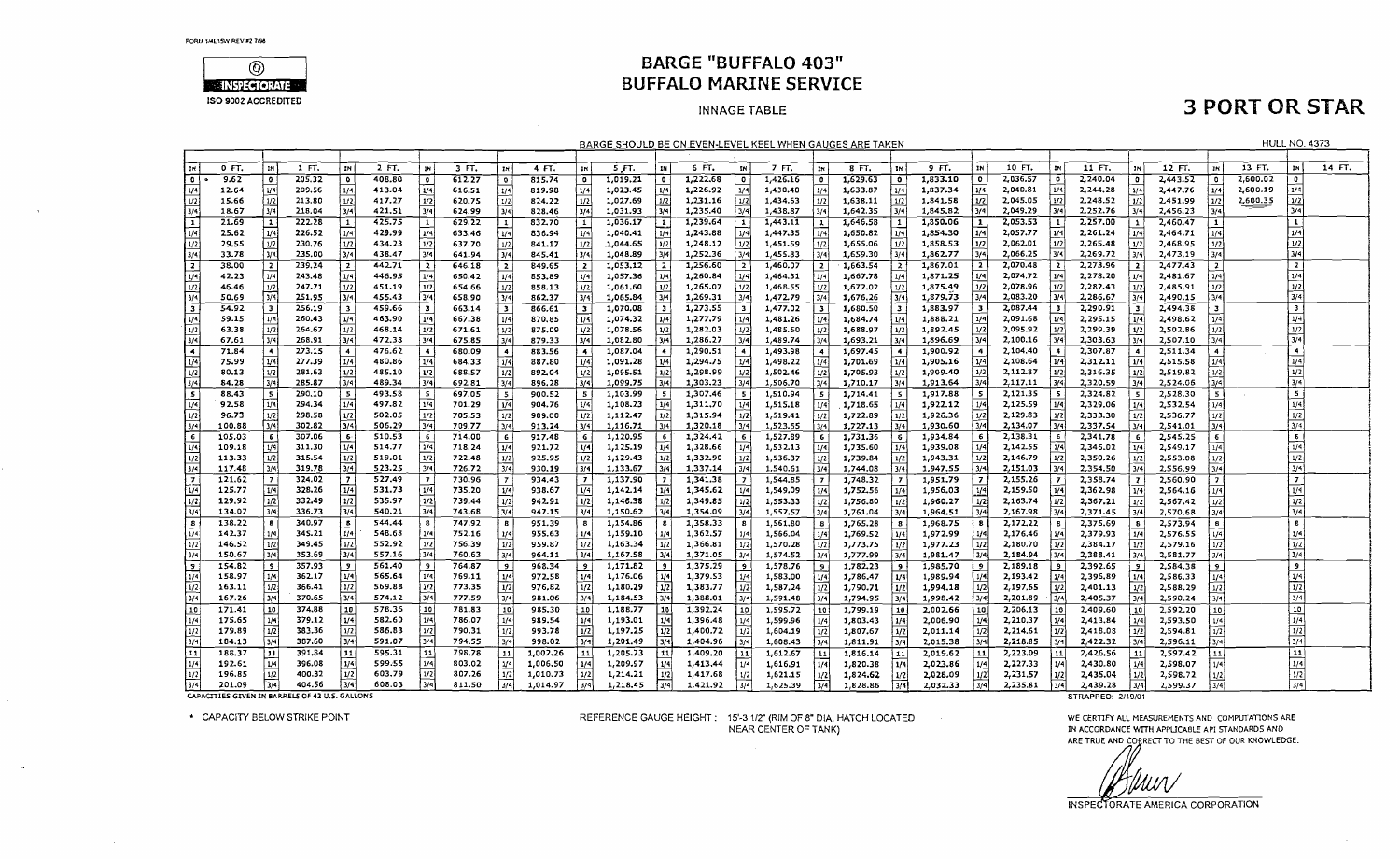

### **BARGE "BUFFALO 403" BUFFALO MARINE SERVICE**

#### **INNAGE TABLE**

## **3 PORT OR STAR**

|                            |                                                |                          |                  |                         |                  |                                         |                  |                             |                  |                         |                      |                         | BARGE SHOULD BE ON EVEN-LEVEL KEEL WHEN GAUGES ARE TAKEN |                          |                      |                         |                      |              |                      |                         |                      |                         |                      |                  |                      |                         |          | <b>HULL NO. 4373</b>        |        |
|----------------------------|------------------------------------------------|--------------------------|------------------|-------------------------|------------------|-----------------------------------------|------------------|-----------------------------|------------------|-------------------------|----------------------|-------------------------|----------------------------------------------------------|--------------------------|----------------------|-------------------------|----------------------|--------------|----------------------|-------------------------|----------------------|-------------------------|----------------------|------------------|----------------------|-------------------------|----------|-----------------------------|--------|
|                            |                                                |                          |                  |                         |                  |                                         |                  |                             |                  |                         |                      |                         |                                                          |                          |                      |                         |                      |              |                      |                         |                      |                         |                      |                  |                      |                         |          |                             |        |
| <b>IN</b>                  | 0 FT                                           | ่ห                       | $1$ FT.          | <b>IN</b>               | $2F$ .           |                                         | 3 FT.            | IN                          | 4 FT.            |                         | 5 FT.                | IN                      | 6 FT.                                                    | IN                       | 7 FT.                | IN                      | 8 FT.                | IN           | 9 FT.                | lи                      | 10 FT.               | IN                      | 11 FT.               | IN.              | 12 FT.               | IN.                     | 13 FT.   | IN                          | 14 FT. |
| $\circ$ (                  | 9.62                                           | 0                        | 205.32           | ∣ o                     | 408.80           | $\bullet$                               | 612.27           | o                           | 815.74           | $\mathbf 0$             | 1,019.21             | $\bullet$               | 1,222.68                                                 | 0                        | 1,426.16             | $\mathbf{c}$            | 1,629.63             | $\bullet$    | 1,833.10             | $\bullet$               | 2,036.57             | $\bullet$               | 2,240.04             | $\pmb{0}$        | 2,443.52             | $\bullet$               | 2,600.02 | $\circ$                     |        |
| 1/4                        | 12.64                                          | 1/4                      | 209.56           | 1/4                     | 413.04           | 1/4                                     | 616.51           | 1⁄4                         | 819.98           | 1/4                     | 1,023.45             |                         | 1,226.92                                                 | 1/4                      | 1,430.40             | 1/4                     | 1,633.87             | 1/4          | 1,837.34             |                         | 2.040.81             | 1/4                     | 2,244.28             | 1/4              | 2,447.76             | 1/4                     | 2,600.19 | 1/4                         |        |
| 1/2                        | 15.66                                          | 1/2                      | 213.80           | 1/2                     | 417.27           | 1/2                                     | 620.75           | 1/2                         | 824.22           | 1/2                     | 1,027.69             | 1/2                     | 1,231.16                                                 | 1/2                      | 1,434.63             | 1/2                     | 1,638.11             | 1/2          | 1,841.58             | 1/2                     | 2,045.05             | 1/2                     | 2,248.52             | 1/2              | 2,451.99             | 1/2                     | 2,600.35 | 1/2                         |        |
| 3/4                        | 18.67                                          | 3/4                      | 218.04           | 3/1                     | 421.51           | 3/4                                     | 624.99           | $\sqrt{3/4}$                | 828.46           | 3/4                     | 1,031.93             | 3/4                     | 1,235.40                                                 | 3/4                      | 1,438.87             | 3/4                     | 1,642.35             | 3/4          | 1,845.82             | 3/4                     | 2,049.29             | 3/4                     | 2,252.76             | 3/4              | 2,456.23             | 3/4                     |          | 3/4                         |        |
| - 1                        | 21.69                                          | l 1                      | 222.28           | $\mathbf{1}$            | 425.75           |                                         | 629.22           | 1                           | 832.70           | $\mathbf{1}$            | 1,036.17             | -1                      | 1,239.64                                                 | $\mathbf{1}$             | 1,443.11             | $\lambda$               | 1,646.58             |              | 1,850.06             | 1                       | 2,053.53             | $\mathbf{1}$            | 2,257.00             | l 1.             | 2,460.47             |                         |          | $\mathbf{1}$                |        |
| 1/4                        | 25,62                                          | 1/4                      | 226.52           | 1/4                     | 429.99           | 1/4                                     | 633.46           | 1/4                         | 836.94           | 1/4                     | 1,040.41             |                         | 1,243.88                                                 | 1/4                      | 1,447.35             | 1/4                     | 1,650.82             | 1/4          | 1,854.30             | 1/4                     | 2,057.77             | 1/4                     | 2,261.24             | 1/4              | 2,464.71             | 1/4                     |          | 1/4                         |        |
|                            | 29.55                                          | $\frac{1/2}{3/4}$        | 230,76           | 1/2                     | 434.23           | 1/2                                     | 637.70           | $1/2$                       | 841.17           | 1/2                     | 1,044.65             |                         | 1,248.12                                                 | 1/2                      | 1,451.59             | 1/2                     | 1,655.06             | 1/2.         | 1,858.53             | 1/2                     | 2,062.01             | 1/2                     | 2,265.48             | 1/2              | 2,468.95             | 1/2                     |          | 1/2                         |        |
|                            | 33.78                                          |                          | 235.00           | 3/4                     | 438.47           | $\sqrt{3/4}$                            | 641.94           | 3/4                         | 845.41           | 3/4                     | 1,048.89             | 3/4                     | 1,252.36                                                 | $13\sqrt{4}$             | 1,455.83             | 3/4                     | 1,659.30             | 3/4          | 1,862.77             | 3/4                     | 2,066.25             | 3/4                     | 2,269.72             | $\overline{y}$ 4 | 2,473.19             | 3/4                     |          | $\overline{3/4}$            |        |
| - 2                        | 38.00                                          | z                        | 239.24           | $\mathbf{z}$            | 442.71           | $\overline{z}$                          | 646.18           | $\overline{2}$              | 849.65           | $\mathbf{z}$            | 1,053.12             | $\overline{2}$          | 1,256.60                                                 | $\overline{2}$           | 1,460.07             | $\overline{2}$          | 1,663.54             |              | 1,867.01             | $\overline{\mathbf{2}}$ | 2,070.48             | $\overline{\mathbf{z}}$ | 2,273.96             |                  | 2,477.43             | $\overline{2}$          |          | $\overline{2}$              |        |
| 1/                         | 42.23                                          | 1/4                      | 243.48           | 1/4                     | 446.95           | 1/4                                     | 650.42           | 1/4                         | 853.89           | 1/4                     | 1,057.36             |                         | 1.260.84                                                 | 1/4                      | 1,464.31             | 1/4                     | 1,667.78             | 1/4          | 1,871.25             | 1/4                     | 2,074.72             | 1/4                     | 2,278.20             | 1/4              | 2,481.67             | 1/4                     |          | 1/4                         |        |
| 1/2                        | 46.46                                          | 1/2                      | 247.71           | 1/2                     | 451.19           | 1/2                                     | 654.66           | 1/2                         | 858.13           | 1/2                     | 1,061.60             | 1/2                     | 1,265.07                                                 | 1/2                      | 1,468.55             | 1/2                     | 1,672.02             | 1/2          | 1,875.49             | 1/2                     | 2,078.96             | 1/2                     | 2,282.43             | 1/2              | 2,485.91             | 1/2                     |          | 1/2                         |        |
| ، رد ا                     | 50.69                                          | 3/4                      | 251.95           | 3/4                     | 455.43           | 3/4                                     | 658.90           | $\sqrt{3/4}$                | 862.37           | 3/4                     | 1,065.84             | 3/4                     | 1,269.31                                                 | 3/4                      | 1,472.79             | 3/4                     | 1,676.26             | 3/4          | 1,879.73             | $\sqrt{3/4}$            | 2,083.20             | 3/4                     | 2,286.67             | 3/4              | 2.490.15             | 3/4                     |          | 3/4                         |        |
| $\overline{\mathbf{3}}$    | 54.92                                          | Īз                       | 256.19           | 3                       | 459.66           | $\overline{\mathbf{3}}$                 | 663.14           | lэ.                         | 866.61           | $\overline{\mathbf{3}}$ | 1,070.08             | $\overline{\mathbf{3}}$ | 1,273.55                                                 | $\overline{\phantom{a}}$ | 1,477.02             | 3                       | 1,680.50             |              | 1,883.97             | 3                       | 2,087.44             | l 3                     | 2,290.91             | $\mathbf{3}$     | 2,494.38             | $\overline{\mathbf{3}}$ |          |                             |        |
|                            | 59.15                                          | 174 أ                    | 260.43           | 1/4                     | 463.90           | 1/4                                     | 667.38           | 1/4                         | 870.85           | 1/4                     | 1,074.32             | 1/4                     | 1,277.79                                                 | 1/4                      | 1,481.26             | 1/4                     | 1,684.74             | 1/4          | 1,888.21             | 1/4                     | 2,091.68             | 1/4                     | 2,295.15             | 1/4              | 2,498.62             | 1/4                     |          | 1/4                         |        |
|                            | 63.38                                          | 1/2<br>3/4               | 264.67           | 1/2                     | 468,14           | $1/\overline{2}$<br>3/4                 | 671.61           | 1/2                         | 875.09           | $\overline{1}/2$        | 1,078.56             | 1/2                     | 1,282.03                                                 | 1/2                      | 1,485.50             | 1/2                     | 1,688.97             | 1/2<br>3/4   | 1,892.45             | 1/2<br>3/4              | 2,095.92<br>2,100.16 | 1/2<br>3/4              | 2,299.39             | 1/2              | 2,502.86             | 1/2<br>3/4              |          | 1/2<br>3/4                  |        |
| l 3/-                      | 67,61                                          | $\overline{\phantom{a}}$ | 268.91           | 3/4                     | 472,38           |                                         | 675.85           | 3/4                         | 879.33           | 3/4                     | 1,082.80             | 3/4                     | 1,286.27                                                 | 3/4                      | 1,489.74             | 3/4                     | 1,693.21             |              | 1,896.69             |                         |                      |                         | 2,303.63             | 3/4              | 2,507.10             |                         |          |                             |        |
| $\boldsymbol{\mathcal{L}}$ | 71.84<br>75.99                                 | 1/4                      | 273.15<br>277.39 | $\overline{4}$<br>1/4   | 476.62<br>480.86 | $\blacktriangleleft$<br>1/4             | 680.09           | $\blacktriangleleft$<br>1/4 | 883.56           | $\blacktriangleleft$    | 1,087.04<br>1,091.28 | $\overline{4}$          | 1,290.51<br>1,294.75                                     | $\blacktriangleleft$     | 1,493.98             | $\overline{\mathbf{4}}$ | 1.697.45<br>1.701.69 |              | 1,900.92<br>1,905.16 | $\overline{4}$<br>1/4   | 2,104,40<br>2,108.64 | $\blacktriangleleft$    | 2,307.87<br>2,312.11 | $\overline{4}$   | 2,511.34<br>2,515.58 | $\overline{4}$          |          | $\blacktriangleleft$<br>1/4 |        |
| 1/                         | 80.13                                          | 1/2                      | 281.63           | 1/2                     | 485.10           | 1/2                                     | 684.33<br>688.57 |                             | 887.80           | 1/4                     | 1,095.51             | 1/4<br>1/2              | 1,298.99                                                 | 1/4<br>1/2               | 1,498.22<br>1,502.46 | 1/4                     | 1,705.93             | 1/4          | 1,909.40             | 1/2                     | 2,112.87             | 1/4<br>1/2              | 2,316.35             | 1/4<br>1/2       | 2,519.82             | 1/4<br>1/2              |          | 1/2                         |        |
|                            | 84.28                                          | 3/4                      | 285.87           | 3/4                     | 489.34           | 3/4                                     | 692.81           | $\frac{1/2}{3/4}$           | 892.04<br>896.28 | 1/2<br>3/4              | 1,099.75             | 3/4                     | 1,303.23                                                 | 3/4                      | 1,506.70             | 1/2<br>3/4              | 1,710.17             | 1/2<br>3/4   | 1,913.64             | 3/4                     | 2,117.11             | 3/4                     | 2,320.59             | 3/4              | 2,524.06             | 3/4                     |          | 3/4                         |        |
| - 51                       | 88,43                                          | ۱s                       | 290.10           | 5                       | 493.58           | 5                                       | 697.05           | $\overline{\phantom{a}}$    | 900.52           | - 5                     | 1,103.99             | 5                       | 1,307.46                                                 | - 5                      | 1,510.94             | - 5                     | 1,714.41             |              | 1,917.88             | i s                     | 2,121.35             | - 5                     | 2,324.82             | 5                | 2,528.30             | 5                       |          | $\overline{\phantom{a}}$    |        |
| 1/4                        | 92.58                                          | 1/4                      | 294.34           | 1/4                     | 497.82           | 1/4                                     | 701.29           | $\overline{1/4}$            | 904.76           | 1/4                     | 1,108.23             | 1/4                     | 1,311,70                                                 | 1/4                      | 1,515.18             | 1/4                     | 1,718.65             | 1/4          | 1,922.12             | 1/4                     | 2,125.59             | 1/4                     | 2,329.06             | 1/4              | 2,532.54             | 1/4                     |          | 1/4                         |        |
| } 1/2                      | 96.73                                          | 1/2                      | 298.58           | 1/2                     | 502.05           | 1/2                                     | 705.53           | 1/2                         | 909.00           | 1/2                     | 1,112.47             | 1/2                     | 1,315.94                                                 | 1/2                      | 1,519.41             | 1/2                     | 1,722.89             | 1/2          | 1,926.36             | 1/2                     | 2,129.83             | 1/2                     | 2,333.30             | 1/2              | 2,536.77             | 1/2                     |          | 1/2                         |        |
| 374                        | 100.88                                         | $\overline{3/4}$         | 302.82           | 3/4                     | 506.29           | 3/4                                     | 709.77           | 3/4                         | 913.24           | $\sqrt{3/4}$            | 1,116.71             | 3/4                     | 1,320.18                                                 | 3/4                      | 1,523.65             | 3/4                     | 1.727.13             | 3/4          | 1,930.60             | 3/4                     | 2,134.07             | 3/4                     | 2,337.54             | 3/4              | 2,541.01             | 3/4                     |          | 3/4                         |        |
| - 6                        | 105.03                                         | 6                        | 307.06           | $\mathbf{5}$            | 510.53           | - 6                                     | 714.00           | - 6                         | 917.48           | - 6                     | 1,120.95             | ∤ 6                     | 1,324.42                                                 | <b>6</b>                 | 1,527.89             | -6                      | 1,731.36             | -6           | 1,934.84             | 6                       | 2,138.31             | - 6                     | 2,341.78             | -6               | 2,545.25             | -6                      |          | $\epsilon$                  |        |
| יע (                       | 109.18                                         | 1/4                      | 311.30           | 1/4                     | 514.77           | 1/4                                     | 718.24           | 1/4                         | 921.72           | 1/4                     | 1,125.19             | 1/4                     | 1,328.66                                                 | 1/4                      | 1,532.13             | 1/4                     | 1,735.60             | 1/4          | 1,939.08             | 1/4                     | 2,142.55             | 1/4                     | 2,346.02             | 1/4              | 2,549.17             | 1/4                     |          | 1/4                         |        |
| 1/                         | 113.33                                         |                          | 315.54           | 1/2                     | 519.01           | $\overline{1/2}$                        | 722.48           |                             | 925.95           | 1/2                     | 1,129.43             | 1/2                     | 1,332.90                                                 | 1/2                      | 1,536.37             | 1/2                     | 1,739.84             | 1/2          | 1,943.31             | 1/2                     | 2,146.79             | 1/2                     | 2,350.26             | 1/2              | 2,553.08             | 1/2                     |          | 1/2                         |        |
| 3/4                        | 117.48                                         | $\frac{1/2}{3/4}$        | 319.78           | $\overline{3/4}$        | 523.25           | 3/4                                     | 726.72           | $\frac{1/2}{3/4}$           | 930.19           | 3/4                     | 1,133.67             | $\sqrt{3/4}$            | 1,337.14                                                 | 3/4                      | 1,540.61             |                         | 1,744.08             | 3/4          | 1,947,55             | $\overline{3/4}$        | 2,151.03             | 3/4                     | 2,354.50             | 3/4              | 2,556.99             | 3/4                     |          | 3/4                         |        |
| I 7                        | 121.62                                         | 17                       | 324.02           | $\overline{\mathbf{z}}$ | 527,49           | $\overline{z}$                          | 730.96           | $\overline{7}$              | 934.43           | $\overline{z}$          | 1,137.90             | ١z                      | 1,341.38                                                 | $\overline{z}$           | 1,544.85             |                         | 1,748.32             |              | 1,951.79             | $\overline{z}$          | 2,155.26             | $\overline{7}$          | 2,358.74             | $\overline{z}$   | 2,560.90             | $\overline{z}$          |          | $\overline{I}$              |        |
| $\overline{1/4}$           | 125.77                                         | 4/ ا                     | 328.26           | 1/4                     | 531.73           | 1/4                                     | 735.20           | 1/4                         | 938.67           | 1/4                     | 1,142.14             | برر ا                   | 1,345.62                                                 | 1/4                      | 1,549.09             |                         | 1,752.56             | 1/4          | 1,956.03             | 174 أ                   | 2,159.50             | 1/4                     | 2,362.98             | 1/4              | 2,564.16             | 1/4                     |          | 1/4                         |        |
| $\sqrt{1/2}$               | 129,92                                         | 1/2                      | 332.49           | 1/2                     | 535.97           | 1/2                                     | 739.44           | 1/2                         | 942.91           | 1/2                     | 1,146.38             | 1/2                     | 1,349.85                                                 | 1/2                      | 1,553.33             | 1/2                     | 1,756.80             | 1/2          | 1,960.27             | 1/2                     | 2,163.74             | 1/2                     | 2,367.21             | 1/2              | 2,567.42             | 1/2                     |          | 1/2                         |        |
| 3/4                        | 134,07                                         | $\sqrt{3/4}$             | 336.73           | 3/4                     | 540.21           | 3/4                                     | 743.68           | $\overline{3/4}$            | 947.15           | 3/4                     | 1,150.62             | 3/4                     | 1,354.09                                                 | 3/4                      | 1,557.57             |                         | 1,761.04             | 3/4          | 1,964.51             | 7/4                     | 2,167.98             | 3/4                     | 2,371.45             | 3/4              | 2,570.68             | 3/4                     |          | 3/4                         |        |
| $\sqrt{8}$                 | 138.22                                         |                          | 340.97           | $\mathbf{g}$            | 544.44           | $\mathbf{g}$                            | 747.92           | $\mathbf{B}$                | 951.39           | $\mathbf{B}$            | 1,154.86             | 8                       | 1,358.33                                                 | $\mathbf{B}$             | 1,561.80             | 8                       | 1,765.28             | $\mathbf{B}$ | 1,968.75             | 8                       | 2,172.22             | -8                      | 2,375.69             | $\mathbf{8}$     | 2,573.94             | $\mathbf{a}$            |          | $\mathbf{g}$                |        |
|                            | 142.37                                         | 1/4                      | 345.21           | 1/4                     | 548.68           | 1/4                                     | 752.16           | 1/4                         | 955.63           | 1/4                     | 1,159.10             | 1/4                     | 1,362.57                                                 | 1/4                      | 1,566.04             |                         | 1.769.52             | 1/4          | 1,972.99             | 1/4                     | 2,176.46             | 1/4                     | 2,379.93             | 1/4              | 2,576.55             | 1/4                     |          | 1/4                         |        |
| $\frac{1/4}{1/2}$          | 146.52                                         | 1/2                      | 349.45           | 1/2                     | 552,92           | 1/2                                     | 756.39           | 1/2                         | 959.87           | 1/2                     | 1,163.34             | 1/2                     | 1,366.81                                                 | 1/2                      | 1,570.28             | 1/2                     | 1,773.75             | 1/2          | 1,977.23             | 1/2                     | 2,180.70             | 1/2                     | 2,384.17             | 1/2              | 2,579.16             | 1/2                     |          | $\overline{1/2}$            |        |
| 374                        | 150.67                                         | $\sqrt{3}/4$             | 353.69           | 3/4                     | 557.16           | 3/4                                     | 760.63           | 3/4                         | 964.11           | 3/4                     | 1,167.58             | -3/4                    | 1,371.05                                                 | 3/4                      | 1,574.52             | 3/4                     | 1,777.99             | 3/4          | 1,981.47             | 3/4                     | 2,184.94             | 3/4                     | 2,388.41             | 3/4              | 2,581.77             | 3/4                     |          | 3/4                         |        |
| 9                          | 154.82                                         | -9                       | 357.93           | $\overline{9}$          | 561.40           | $\cdot$                                 | 764.87           | -9                          | 968.34           | <b>9</b>                | 1,171.82             | وإ                      | 1,375.29                                                 | $\cdot$                  | 1,578.76             |                         | 1,782.23             | - 9          | 1,985.70             | <b>I</b> 9              | 2,189.18             | <b>9</b>                | 2,392.65             | - 9              | 2,584.38             | $^{\circ}$              |          | $\cdot$                     |        |
|                            | 158.97                                         | ا 1/4                    | 362.17           | 1/4                     | 565.64           | 1/4                                     | 769.11           | 1/4                         | 972.58           | 1/4                     | 1,176.06             |                         | 1,379.53                                                 | 1/4                      | 1,583.00             |                         | 1,786.47             | 1/4          | 1,989.94             | 1/4                     | 2,193.42             | 1/4                     | 2,396.89             | 1/4              | 2,586.33             | 1/4                     |          | 1/4                         |        |
| $\frac{1/4}{1/2}$          | 163.11                                         | 1/2                      | 366.41           | 1/2                     | 569.88           | $\frac{\overline{1/2}}{\overline{3/4}}$ | 773.35           | $\overline{1/2}$            | 976,82           | $\sqrt{1/2}$            | 1,180.29             | $\overline{1/2}$        | 1,383.77                                                 | $1/\overline{2}$         | 1,587.24             | 1/2                     | 1,790.71             | 1/2          | 1,994.18             | 1/2                     | 2,197.65             | 1/2                     | 2,401.13             | 1/2              | 2,588.29             | 1/2                     |          | 1/2                         |        |
| 3/4                        | 167.26                                         | 3/4                      | 370.65           | 3/4                     | 574,12           |                                         | 777.59           | 3/4                         | 981.06           | 3/4                     | 1.184.53             | 3/4                     | 1,388.01                                                 | 3/9                      | 1,591.48             | 3/4                     | 1,794.95             | 3/4          | 1,998.42             | 13/4                    | 2,201.89             | 3/4                     | 2,405.37             | 3/4              | 2,590.24             | 3/4                     |          | 3/4                         |        |
| $\frac{10}{1/4}$           | 171.41                                         | 10                       | 374.88           | 10                      | 578.36           | 10                                      | 781,83           | 10                          | 985.30           | 10                      | 1,188.77             | 10                      | 1,392.24                                                 | 10                       | 1,595.72             | 10                      | 1,799.19             | 10           | 2,002.66             | 10 (                    | 2,206.13             | 10                      | 2,409.60             | 10               | 2,592.20             | 10                      |          | 10                          |        |
|                            | 175.65                                         |                          | 379.12           | 1/4                     | 582.60           | 1/3                                     | 786.07           | 1/4                         | 989.54           | 1/4                     | 1,193.01             |                         | 1,396.48                                                 | 1/4                      | 1,599.96             | 1/4                     | 1,803.43             | 1/4          | 2,006.90             | 1/4                     | 2,210,37             | 1/4                     | 2,413.84             | 1/4              | 2,593.50             | 1/4                     |          | 1/4                         |        |
| $\sqrt{1/2}$               | 179.89                                         | 212                      | 383.36           | 1/2                     | 586.83           | 1/2                                     | 790.31           | 1/2                         | 993.78           | $\overline{1/2}$        | 1,197.25             | 1/2                     | 1,400.72                                                 | 1/2                      | 1,604.19             | 1/2                     | 1,807.67             | 1/2          | 2,011.14             | 1/2                     | 2,214.61             | 1/2                     | 2,418.08             | 1/2              | 2,594.81             | 1/2                     |          | 1/2                         |        |
| 3/4                        | 184.13                                         | ا134                     | 387.60           | 3/4                     | 591.07           | 3/4                                     | 794.55           | 3/4                         | 998.02           | $\sqrt{3/4}$            | 1,201.49             | 3/4                     | 1,404.96                                                 | 3/4                      | 1,608.43             | $\frac{1}{3}$ /4        | 1,811.91             | 3/4          | 2,015.38             | 3/4                     | 2,218.85             | 3/4                     | 2,422.32             | 3/4              | 2,596.11             | 3/4                     |          | 3/4                         |        |
| 11                         | 188.37                                         | ! 11                     | 391.84           | 11                      | 595.31           | 11                                      | 798.78           | 11                          | 1,002.26         | i 11                    | 1,205.73             | 11                      | 1,409.20                                                 | 11                       | 1,612.67             | i 11                    | 1,816,14             | 11           | 2,019.62             | 11                      | 2,223.09             | 11                      | 2,426.56             | 11               | 2,597.42             | 11                      |          | 11                          |        |
| $\frac{1/4}{1/2}$          | 192.61                                         |                          | 396.08           | 1/4                     | 599.55           | 1/4                                     | 803.02           | M                           | 1,006.50         | 1/4                     | 1,209.97             | 1/4                     | 1,413.44                                                 | 1/4                      | 1,616.91             | 1/4                     | 1,820.38             | 1/4          | 2,023.86             | 1/4                     | 2,227.33             | 1/4                     | 2,430.80             | 1/4              | 2,598.07             | 1/4                     |          | 1/4                         |        |
|                            | 196.85                                         |                          | 400.32           | $\overline{1/2}$        | 603.79           | 1/2                                     | 807.26           | $\overline{1/2}$            | 1,010.73         | 1/2                     | 1,214.21             | 1/2                     | 1,417.68                                                 | 1/2                      | 1,621.15             | 1/2                     | 1,824.62             | 1/2          | 2,028.09             | 1/2                     | 2,231.57             | 1/2                     | 2,435.04             | 1/2              | 2,598.72             | 1/2                     |          | $\sqrt{1/2}$                |        |
| 3/4                        | 201.09                                         | 3/4                      | 404.56           | 3/4                     | 608.03           | 3/4                                     | 811.50           | 3/4                         | 1,014.97         | 3/4                     | 1,218.45             | 3/4                     | 1,421.92                                                 | 3/4                      | 1,625.39             | $\sqrt{3/4}$            | 1,828.86             | 3/4          | 2,032.33             | 3/4                     | 2,235.81             | [3/4                    | 2,439.28             | 3/4              | 2,599.37             | 3/4                     |          | 3/4                         |        |
|                            | CAPACITIES GIVEN IN BARRELS OF 42 U.S. GALLONS |                          |                  |                         |                  |                                         |                  |                             |                  |                         |                      |                         |                                                          |                          |                      |                         |                      |              |                      |                         |                      |                         | STRAPPED: 2/19/01    |                  |                      |                         |          |                             |        |

\* CAPACITY BELOW STRIKE POINT

 $\sim$ 

 $\sim$ 

REFERENCE GAUGE HEIGHT: 15'-3 1/2" (RIM OF 8" DIA, HATCH LOCATED NEAR CENTER OF TANK)

WE CERTIFY ALL MEASUREMENTS AND COMPUTATIONS ARE IN ACCORDANCE WITH APPLICABLE API STANDARDS AND ARE TRUE AND CORRECT TO THE BEST OF OUR KNOWLEDGE.

 $\sim 10^7$ 

INSPECTORATE AMERICA CORPORATION

 $\sim$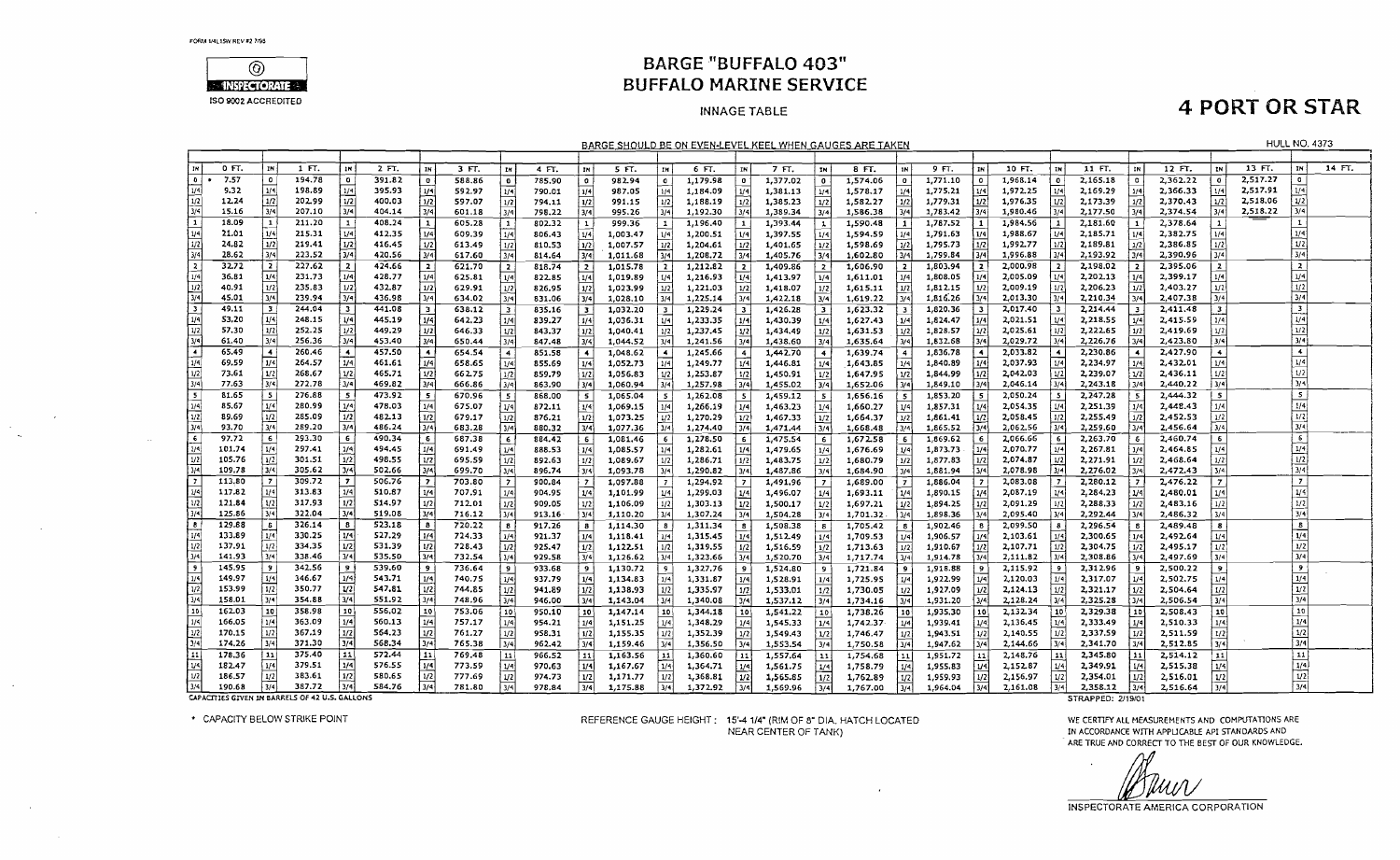$\sim$ 

 $\sim$ 



### **BARGE "BUFFALO 403" BUFFALO MARINE SERVICE**

#### **INNAGE TABLE**

## **4 PORT OR STAR**

**HULL NO. 4373** 

BARGE SHOULD BE ON EVEN-LEVEL KEEL WHEN GAUGES ARE TAKEN

|                   | 0 FT.  | IN                       | 1 FT.                                          | IN                   | 2 FT.  | IN                       | 3 FT.  | I IN           | 4 FT.  | IN              | 5 FT.    | ΙM             | 6 FT.    | IN                      | 7 FT.    | IN I                    | 8 FT.    | 1N             | 9 FT.    | IN I                   | 10 FT.   | IN.             | 11 FT.            | IN I  | 12 FT.   | IN.                     | $13 \text{ F}$ | IN I                    | 14 FT. |
|-------------------|--------|--------------------------|------------------------------------------------|----------------------|--------|--------------------------|--------|----------------|--------|-----------------|----------|----------------|----------|-------------------------|----------|-------------------------|----------|----------------|----------|------------------------|----------|-----------------|-------------------|-------|----------|-------------------------|----------------|-------------------------|--------|
| l o               | 7.57   | $\mathbf 0$              | 194.78                                         | $\bullet$            | 391.82 | $\bullet$                | 588.86 | $\bullet$      | 785.90 | $\bullet$       | 982.94   | $\mathbf{0}$   | 1,179.98 | $^{\circ}$              | 1,377.02 | $\bullet$               | 1,574.06 | $\mathbf{0}$   | 1,771.10 | $\bullet$              | 1,968.14 | $^{\circ}$      | 2,165.18          |       | 2,362.22 | $\sigma$                | 2.517.27       | $\circ$ 1               |        |
|                   | 9.32   | 1/4                      | 198.89                                         | 1/4                  | 395.93 | 1/4                      | 592.97 | 1/4            | 790.01 | 1/4             | 987.05   | 1/4            | 1,184.09 | 1/4                     | 1,381.13 | 1/4                     | 1,578.17 | 1/4            | 1,775,21 | M <sub>4</sub>         | 1.972.25 | 1/41            | 2.169.29          |       | 2,366,33 | 1/4                     | 2,517.91       | 1/4                     |        |
| 1/2               | 12.24  | 1/2                      | 202.99                                         | 1/2                  | 400.03 | 1/2                      | 597.07 | 1/2            | 794.11 | 1/2             | 991.15   | 1/2            | 1,188.19 | 1/2                     | 1,385.23 | 1/2                     | 1,582.27 | 1/2            | 1,779.31 | 1/2                    | 1,976.35 |                 | 2,173.39          |       | 2,370.43 | 1/2                     | 2,518.06       | 1/2                     |        |
| 3/4               | 15.16  | 3/4                      | 207.10                                         | 3/4                  | 404.14 | 3/4                      | 601.18 | 3/4            | 798.22 | 3/4             | 995.26   | 3/4            | 1,192.30 | 3/4                     | 1,389.34 |                         | 1,586.38 |                | 1,783.42 | 3/4                    | 1,980.46 | 3/4             | 2,177.50          |       | 2,374.54 | 3/4                     | 2,518.22       | 3/4                     |        |
| 1 1               | 18.09  | $\mathbf{1}$             | 211.20                                         | $\mathbf{1}$         | 408.24 | $\mathbf{1}$             | 605.28 | 1              | 802.32 | $\vert 1 \vert$ | 999.36   |                | 1,196.40 | $\mathbf{1}$            | 1,393.44 | $\mathbf{1}$            | 1,590.48 | 1 <sup>1</sup> | 1,787.52 |                        | 1,984.56 |                 | 2,181.60          |       | 2,378.64 |                         |                | $\mathbf{I}$            |        |
| 1/4               | 21.01  | 1/4                      | 215.31                                         | 1/4                  | 412.35 | 1/4                      | 609.39 | 1/4            | 806.43 | 1/4             | 1,003.47 | 1/4            | 1,200.51 | 1/4                     | 1,397.55 | 1/4                     | 1,594.59 | 1/4            | 1,791.63 | 1/4                    | 1,988.67 | 1/4             | 2,185.71          |       | 2,382.75 | 1/4                     |                | 1/4                     |        |
| 1/2               | 24.82  | 1/2                      | 219.41                                         | 1/2                  | 416.45 | 1/2                      | 613.49 | 1/2            | 810.53 | 1/2             | 1,007.57 | 1/2            | 1,204.61 | 1/2                     | 1,401.65 | 1/2                     | 1,598.69 | 1/2            | 1,795.73 | 1/2                    | 1,992.77 |                 | 2.189.81          |       | 2,386.85 | 1/2                     |                | 1/2                     |        |
| 3/4               | 28.62  | 3/4                      | 223.52                                         | 3/4                  | 420.56 | 3/4                      | 617.60 | 3/4            | 814.64 | 3/4             | 1,011.68 | l 3/4 l        | 1,208.72 | 3/4                     | 1,405.76 | 3/4                     | 1,602.80 | 3/4            | 1,799.84 | 3/4                    | 1,996.88 |                 | 2,193.92          |       | 2,390.96 | 3/4                     |                | 3/4                     |        |
| 12                | 32.72  | $\overline{2}$           | 227.62                                         | $\overline{2}$       | 424.66 | $\mathbf{z}$             | 621.70 | 2              | 818,74 | $\overline{2}$  | 1,015.78 | $\overline{2}$ | 1,212.82 | $\overline{2}$          | 1,409.86 | $\overline{z}$          | 1,606.90 |                | 1.803.94 | $\overline{z}$         | 2,000.98 |                 | 2,198.02          |       | 2,395.06 | $\mathbf{z}$            |                | $\mathbf{z}$            |        |
| 1/4               | 36.81  | 1/4                      | 231,73                                         | 1/4                  | 428.77 | 1/4                      | 625.81 | 1/4            | 822.85 | 1/4             | 1,019.89 |                | 1,216.93 | 1/4                     | 1,413.97 | 1/4                     | 1,611.01 | 1/4            | 1,808.05 | 1/4                    | 2,005.09 |                 | 2,202.13          |       | 2,399.17 | 1/4                     |                | 1/4                     |        |
| $\mathbf{u}$      | 40.91  | 1/2                      | 235.83                                         | 1/2                  | 432.87 | 1/2                      | 629.91 | 1/2            | 826.95 | 1/2             | 1,023.99 | 1/2            | 1,221.03 | 1/2                     | 1,418.07 | 1/2                     | 1,615.11 | 1/2            | 1,812.15 | 1/2                    | 2,009.19 |                 | 2,206.23          |       | 2,403.27 | 1/2                     |                | 1/2                     |        |
| $\sqrt{3/4}$      | 45.01  | 3/4                      | 239.94                                         | 3/4                  | 436.98 | 3/4                      | 634.02 | 3/4            | 831.06 | 3/4             | 1,028.10 | l 3/4 l        | 1,225.14 | 3/4                     | 1,422.18 | 3/4                     | 1,619.22 |                | 1,816.26 | 3/4                    | 2,013.30 |                 | 2,210.34          |       | 2,407.38 | 3/4                     |                | 3/4                     |        |
| 13                | 49.11  | $\overline{\phantom{a}}$ | 244,04                                         | 3 <sup>1</sup>       | 441.08 | -3                       | 638.12 | 3              | 835.16 | -31             | 1,032.20 | i 3            | 1,229.24 | $\overline{\mathbf{3}}$ | 1,426.28 | $\overline{\mathbf{3}}$ | 1,623.32 |                | 1,820.36 | -31                    | 2,017.40 |                 | 2,214.44          |       | 2,411.48 | $\overline{\mathbf{3}}$ |                | $\overline{\mathbf{3}}$ |        |
|                   | 53.20  | 1/4                      | 248.15                                         | 1/4                  | 445.19 | 1/4                      | 642,23 | 1/4            | 839.27 | 1/4             | 1,036.31 | 1/4            | 1,233.35 | 1/4                     | 1,430.39 | 1/4                     | 1,627.43 | 1/4            | 1,824.47 | 1/4                    | 2,021.51 | 1/4 I           | 2,218.55          | 1/4   | 2,415.59 | 1/4                     |                | 1/4                     |        |
| $\frac{1/4}{1/2}$ | 57.30  | 1/2                      | 252.25                                         | 1/2                  | 449.29 | 1/2                      | 646.33 | ม2             | 843.37 | 1/2             | 1,040.41 | 1/2            | 1,237.45 | 1/2                     | 1,434.49 | 1/2                     | 1,631.53 |                | 1,828.57 | 1/2                    | 2,025.61 | 1/2             | 2,222.65          |       | 2,419.69 | 1/2                     |                | 1/2                     |        |
| 3/4               | 61.40  | 3/4                      | 256.36                                         | 3/4                  | 453.40 | 3/4                      | 650.44 | 3/4            | 847.48 | 3/4             | 1,044.52 | 13/41          | 1,241.56 | 3/4                     | 1,438.60 | 3/4                     | 1,635.64 | 3/4            | 1,832.68 | 3/4                    | 2,029.72 |                 | 2,226.76          |       | 2,423.80 | 3/4                     |                | 3/4                     |        |
| ⊺∓                | 65.49  | $\overline{4}$           | 260,46                                         | $\blacktriangleleft$ | 457.50 | $\overline{\phantom{a}}$ | 654.54 | $\overline{4}$ | 851.58 | $\ddotmark$     | 1,048.62 | -41            | 1,245.66 | $\sim$                  | 1,442.70 | -4                      | 1,639.74 | $\overline{4}$ | 1.836.78 | $\left  \cdot \right $ | 2,033.82 |                 | 2,230.86          |       | 2,427.90 | $\blacktriangleleft$    |                | $\left  \right $        |        |
| 1/4               | 69.59  | 1/4                      | 264.57                                         | 1/4                  | 461.61 | 1/4                      | 658.65 | 1/4            | 855.69 | 1/4             | 1,052.73 | 1/4            | 1,249.77 | 1/4                     | 1,446.81 | 1/4                     | 1,643.85 |                | 1,840.89 | 1/4                    | 2,037.93 |                 | 2,234.97          | 1/4   | 2,432.01 | 1/4                     |                | 1/4                     |        |
| $\sqrt{1/2}$      | 73.61  | 1/2                      | 268.67                                         | 1/2                  | 465.71 | 1/2                      | 662.75 | 1/2            | 859.79 | 1/2             | 1,056.83 |                | 1,253.87 | 1/2                     | 1,450.91 | 1/2                     | 1,647.95 |                | 1,844.99 | 1/2                    | 2,042.03 |                 | 2,239.07          |       | 2,436.11 | 1/2                     |                | 1/2                     |        |
| 3/4               | 77.63  | 3/4                      | 272.78                                         | 3/4                  | 469.82 | 3/4                      | 666.86 | 3/4            | 863.90 | 3/4             | 1,060.94 | 3/41           | 1,257.98 | 3/4                     | 1,455.02 | 3/4                     | 1,652.06 | 3/4            | 1,849.10 | 3/4                    | 2,046.14 | 3/4             | 2,243.18          | 3/4   | 2,440.22 | 3/4                     |                | 3/4                     |        |
| ᠊                 | 81.65  | 5                        | 276.88                                         | - 5                  | 473.92 | 5                        | 670.96 | 5              | 868.00 | 5               | 1,065.04 | 5              | 1,262.08 | -5                      | 1,459.12 | 5                       | 1,656.16 | -5             | 1,853.20 | 5 <sup>1</sup>         | 2,050.24 |                 | 2,247.28          |       | 2,444.32 | 5                       |                | $5 \frac{1}{2}$         |        |
| 1/4               | 85.67  | 1/4                      | 280.99                                         | 1/4                  | 478.03 | 1/4                      | 675.07 | 1/4            | 872.11 | 1/4             | 1,069.15 | 1/4            | 1,266.19 | 1/4                     | 1,463.23 | 1/4                     | 1,660.27 | 1/4            | 1,857.31 | 1/4                    | 2,054.35 |                 | 2,251.39          |       | 2,448.43 | 1/4                     |                | 1/4                     |        |
| 1/2               | 89.69  | 1/2                      | 285.09                                         | 1/2                  | 482.13 | 1/2                      | 679.17 | 1/2            | 876.21 | 1/2             | 1,073.25 | l 1/2 I        | 1,270.29 | 1/2                     | 1,467.33 | 1/2                     | 1,664.37 |                | 1,861.41 | 1/2                    | 2,058.45 |                 | 2,255.49          |       | 2,452.53 | 1/2                     |                | 1/2                     |        |
| 3/4               | 93.70  | 3/4                      | 289.20                                         | 3/4                  | 486.24 | 3/4                      | 683.28 | 3/4            | 880.32 | 3/4             | 1,077.36 |                | 1,274.40 | 3/4                     | 1,471.44 | 3/4                     | 1,668.48 |                | 1,865.52 | 3/4                    | 2,062.56 |                 | 2,259.60          | 3/41  | 2,456.64 | 3/4                     |                | 3/4                     |        |
| l۶.               | 97.72  | 6                        | 293.30                                         | 6                    | 490.34 | 6                        | 687.38 | - 6            | 884.42 | -6              | 1,081,46 |                | 1,278.50 |                         | 1,475.54 | 6                       | 1,672.58 | -61            | 1,869.62 | 6                      | 2,066.66 |                 | 2,263.70          | 6.    | 2,460.74 | 6                       |                | $\overline{6}$          |        |
| l 1/4             | 101.74 | 1/4                      | 297.41                                         | 1/4                  | 494.45 | 1/4                      | 691.49 | 1/4            | 888.53 | 1/4             | 1,085.57 | 1/4            | 1,282.61 | 1/4                     | 1,479.65 | 1/4                     | 1,676.69 |                | 1,873.73 | 1/4                    | 2.070.77 | 1/4             | 2,267.81          | 1/4   | 2,464.85 | 1/4                     |                | 1/4                     |        |
| 1/2               | 105.76 | 1/2                      | 301.51                                         | 1/2                  | 498.55 | 1/2                      | 695.59 | yz             | 892.63 | 1/2             | 1,089.67 | l 1/2 l        | 1,286.71 | 1/2                     | 1,483.75 | 1/2                     | 1,680.79 | 1/2            | 1,877.83 | 1/2                    | 2.074.87 | U <sub>2</sub>  | 2,271.91          | 1/21  | 2,468.64 | 1/2                     |                | 1/2                     |        |
| ەرد (             | 109.78 | 3/4                      | 305.62                                         | 3/4                  | 502.66 | 3/4                      | 699.70 | 3/4            | 896.74 | 3/4             | 1,093.78 | ا 3/4          | 1,290.82 | 3/4                     | 1,487.86 | 3/4                     | 1,684.90 | 3/4            | 1,881.94 | 3/4                    | 2,078.98 | 3/4             | 2,276.02          |       | 2,472.43 | 3/4                     |                | 3/4                     |        |
|                   | 113,80 | $\overline{7}$           | 309.72                                         | $\overline{z}$       | 506.76 | $\overline{z}$           | 703.80 | $\overline{z}$ | 900.84 | 7 <sup>1</sup>  | 1,097.88 | l 7 i          | 1,294.92 | - 7                     | 1,491.96 | $\overline{ }$          | 1,689.00 | - 7 I          | 1,886.04 | - 7 1                  | 2,083.08 |                 | 2,280.12          |       | 2,476.22 | 7                       |                | -71                     |        |
| l 1/4             | 117.82 | 1/4                      | 313.83                                         | 1/4                  | 510.67 | 1/4                      | 707.91 | 1/4            | 904.95 | 1/4             | 1,101.99 | 1/4            | 1,299.03 | 1/4                     | 1,496.07 | 1/4                     | 1,693.11 | 1/4            | 1,890.15 | 1/4                    | 2,087.19 | V4              | 2,284.23          | 1/4 I | 2,480.01 | 1/4                     |                | 1/4                     |        |
| l 1/2             | 121.84 | 1/2                      | 317.93                                         | 1/2                  | 514.97 | 1/2                      | 712.01 | 1/2            | 909.05 | 1/21            | 1,106.09 | 1/2            | 1,303.13 | 1/2                     | 1,500.17 | 1/2                     | 1,697.21 |                | 1,894.25 | 1/2                    | 2,091.29 | 1/2             | 2,288.33          | 1/2   | 2,483.16 | 1/2                     |                | 1/2                     |        |
| 3/4               | 125.86 | 3/4                      | 322.04                                         | 3/4                  | 519.08 | 3/4                      | 716.12 | 3/4            | 913.16 | 3/4             | 1,110.20 | 3/4            | 1,307.24 | 3/4                     | 1,504.28 |                         | 1,701.32 |                | 1,898.36 | 3/4                    | 2,095.40 |                 | 2,292.44          | 374   | 2,486.32 | 3/4                     |                | 3/4                     |        |
| lв                | 129.88 | - 6                      | 326.14                                         | 8                    | 523.18 | 8                        | 720.22 | 8              | 917.26 | $\bf{8}$        | 1,114.30 | B              | 1,311.34 |                         | 1,508.38 | 8                       | 1,705.42 | 8 <sup>1</sup> | 1,902.46 | $\mathbf{s}$           | 2,099.50 |                 | 2,296.54          |       | 2,489.48 | $\mathbf{8}$            |                | $\overline{\mathbf{s}}$ |        |
| 1/4               | 133.89 | 1/4                      | 330.25                                         | 1/4                  | 527.29 | 1/4                      | 724.33 | 1/4            | 921.37 |                 | 1,118.41 | 1/4            | 1,315.45 |                         | 1,512.49 | 1/4                     | 1,709.53 | 1/4            | 1,906.57 | 1/4                    | 2,103.61 |                 | 2,300.65          |       | 2,492.64 | 1/4                     |                | 1/4                     |        |
| 1/2               | 137.91 | 1/2                      | 334.35                                         | 1/2                  | 531.39 | 1/2                      | 728.43 | 1/2            | 925.47 | 1/2             | 1,122.51 | 1/2            | 1,319.55 | 1/2                     | 1,516.59 | 1/2                     | 1,713.63 | 1/2            | 1,910.67 | 1/2                    | 2,107.71 | 1/2             | 2,304.75          | 1/2   | 2,495.17 | 1/2                     |                | 1/2                     |        |
| 13/4              | 141.93 | 3/4                      | 338.46                                         | 3/4                  | 535.50 | 3/4                      | 732.54 | 3/4            | 929.58 | 3/4             | 1,126.62 | 13/41          | 1,323.66 | 3/4                     | 1,520.70 | 3/4                     | 1,717.74 | 3/4            | 1,914.78 | 3/4                    | 2,111.82 |                 | 2,308.86          |       | 2,497.69 | 3/4                     |                | 3/4                     |        |
|                   | 145.95 | -9                       | 342.56                                         | 19                   | 539.60 | -9                       | 736.64 | 9.             | 933.68 | $\overline{9}$  | 1,130.72 | l 9.           | 1,327,76 |                         | 1,524.80 |                         | 1,721.84 | ا دې           | 1,918.88 | -91                    | 2,115.92 |                 | 2,312.96          | ۰     | 2,500.22 | $\overline{9}$          |                | ا و                     |        |
| 1/4               | 149.97 | 1/4                      | 346.67                                         | 1/4                  | 543.71 | 1/4                      | 740.75 | 1/4            | 937.79 | 1/4             | 1,134.83 | l 1/4 l        | 1,331.87 | 174                     | 1,528.91 | 1/4                     | 1,725.95 |                | 1,922.99 | 1/4                    | 2,120.03 |                 | 2,317.07          | 1/4   | 2,502.75 | 1/4                     |                | 1/4                     |        |
| l 1/2             | 153.99 | 1/2                      | 350.77                                         | 1/2                  | 547.81 | 1/2                      | 744.85 | 1/2            | 941.89 | 1/2             | 1,138.93 | 1/2            | 1,335.97 | 1/2                     | 1,533.01 | 1/2                     | 1,730.05 | 1/2            | 1,927.09 | 1/2                    | 2,124.13 | 1/2             | 2.321.17          | 1/2   | 2,504.64 | 1/2                     |                | 1/2                     |        |
| 314               | 158.01 | 3/4                      | 354.88                                         | 3/4                  | 551.92 | 3/4                      | 748.96 | $\sqrt{3/4}$   | 946.00 | 3/4             | 1,143.04 | 3/4            | 1,340.08 | 3/4                     | 1,537.12 | 3/4                     | 1,734.16 | 3/4            | 1,931.20 | 3/4                    | 2,128.24 | 3/4             | 2,325.28          | 3/4   | 2,506.54 | 3/4                     |                | 3/4                     |        |
| j 10              | 162.03 | 10                       | 358.98                                         | 10                   | 556,02 | 30 <sup>1</sup>          | 753.06 | 10             | 950.10 | 10 <sup>1</sup> | 1,147.14 | 10             | 1,344.18 | 10                      | 1,541.22 | 10                      | 1,738,26 | 10             | 1,935.30 | 10 <sup>1</sup>        | 2,132.34 | 10 <sup>1</sup> | 2,329.38          | 10    | 2,508.43 | <b>10</b>               |                | 10                      |        |
| 1/5               | 166.05 | 1/4                      | 363.09                                         | 1/4                  | 560.13 | 1/4                      | 757.17 | 1/4            | 954.21 | 1/4             | 1,151.25 | 1/4            | 1,348.29 | 1/4                     | 1,545.33 | 1/4                     | 1,742.37 | 1/4            | 1,939.41 | 1/4                    | 2,136.45 | 1/4             | 2,333.49          | 1/4   | 2,510.33 | 1/4                     |                | 1/4                     |        |
| 1/2               | 170.15 | 1/2                      | 367.19                                         | 1/2                  | 564.23 | 1/2                      | 761.27 | 1/2            | 958.31 | 1/2             | 1,155.35 | 1/2            | 1,352.39 | 1/2                     | 1,549.43 | 1/2                     | 1,746.47 | 1/2            | 1,943.51 | 1/2                    | 2,140.55 | 1/2             | 2,337.59          | 1/2   | 2,511.59 | 1/2                     |                | 1/2                     |        |
|                   | 174.26 | 3/4                      | 371.30                                         | 3/4                  | 568.34 | 3/4                      | 765.38 | 3/4            | 962.42 | 3/4             | 1,159.46 | 3/4            | 1,356.50 | 3/4                     | 1,553.54 | 3/4                     | 1,750.58 | 3/4            | 1,947.62 | 3/4                    | 2,144.66 | 3/4             | 2,341.70          | 3/4   | 2,512.85 | 3/4                     |                | 3/4                     |        |
|                   | 178.36 | 11                       | 375.40                                         | 11                   | 572.44 | 11                       | 769.48 | 11             | 966.52 | 11              | 1,163.56 | i 11 l         | 1,360.60 | 11                      | 1,557.64 | 11                      | 1,754,68 | 11             | 1,951.72 | 11                     | 2,148.76 | 11              | 2,345.80          |       | 2,514.12 | 11                      |                | 11                      |        |
| ا v               | 182.47 | 1/4                      | 379.51                                         | ا 1/4                | 576.55 | 1/4                      | 773.59 | 1/4            | 970.63 | 1/4             | 1,167.67 |                | 1,364.71 |                         | 1,561.75 | 1/4                     | 1,758.79 | 1/4            | 1,955.83 | 1/4                    | 2,152.87 |                 | 2,349.91          | 1/4   | 2,515.38 | 1/4                     |                | 1/4                     |        |
|                   | 186.57 | 1/2                      | 383.61                                         | 1/2                  | 580.65 | 1/2                      | 777.69 | $ _{1/2} $     | 974.73 | 1/2             | 1,171.77 |                | 1,368.81 | 1/2                     | 1,565.85 | 1/2                     | 1,762.89 | 1/2            | 1,959.93 | 1/2                    | 2,156.97 |                 | 2,354,01          |       | 2,516.01 | 1/2                     |                | $\overline{u}$          |        |
|                   | 190.68 | 3/4                      | 387.72                                         | 3/4                  | 584.76 | 3/4                      | 781.80 | 3/4            | 978.84 | 3/4             | 1,175.88 |                | 1,372.92 |                         | 1,569.96 | 3/4                     | 1,767.00 | 3/41           | 1,964.04 | 3/4                    | 2,161.08 | 3/4             | 2,358.12          | 3/4   | 2,516.64 | 3/4                     |                | 3/4                     |        |
|                   |        |                          | CAPACITIES GIVEN IN BARRELS OF 42 U.S. GALLONS |                      |        |                          |        |                |        |                 |          |                |          |                         |          |                         |          |                |          |                        |          |                 | STRAPPED: 2/19/01 |       |          |                         |                |                         |        |

CAPACITIES GIVEN IN BARRELS OF 42 U.S. GALLONS

\* CAPACITY BELOW STRIKE POINT

REFERENCE GAUGE HEIGHT: 15'-4 1/4" (RIM OF 8" DIA, HATCH LOCATED NEAR CENTER OF TANK)

 $\mathbf{r}$ 

WE CERTIFY ALL MEASUREMENTS AND COMPUTATIONS ARE IN ACCORDANCE WITH APPLICABLE API STANDARDS AND ARE TRUE AND CORRECT TO THE BEST OF OUR KNOWLEDGE.

и#н.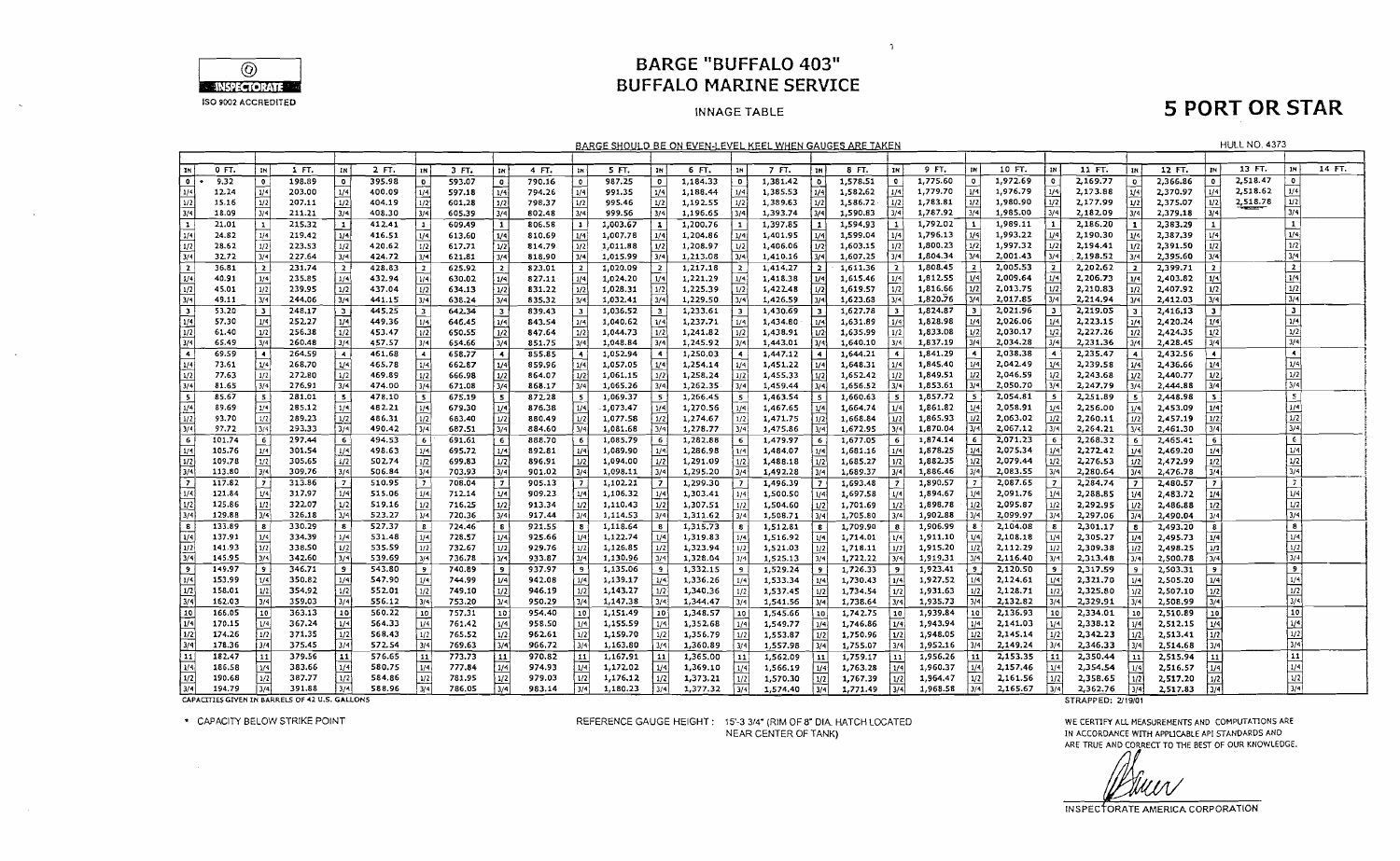

### **BARGE "BUFFALO 403" BUFFALO MARINE SERVICE**

 $\mathcal{L}$ 

#### **INNAGE TABLE**

## **5 PORT OR STAR**

|                         |                |                               |                 |                         |                  |                    |                  |                         |                  |                         |                      |                          | <u>BARGE SHOULD BE ON EVEN-LEVEL KEEL WHEN GAUGES ARE TAKEN</u> |                  |                      |                         |                      |                         |                      |                         |                      |                |                      |                  |                      |                         | <b>HULL NO. 4373</b> |                         |        |
|-------------------------|----------------|-------------------------------|-----------------|-------------------------|------------------|--------------------|------------------|-------------------------|------------------|-------------------------|----------------------|--------------------------|-----------------------------------------------------------------|------------------|----------------------|-------------------------|----------------------|-------------------------|----------------------|-------------------------|----------------------|----------------|----------------------|------------------|----------------------|-------------------------|----------------------|-------------------------|--------|
|                         |                |                               |                 |                         |                  |                    |                  |                         |                  |                         |                      |                          |                                                                 |                  |                      |                         |                      |                         |                      |                         |                      |                |                      |                  |                      |                         |                      |                         |        |
| ∣ IN '                  | 0 FT.          | <b>IN</b>                     | 1 FT.           | IN                      | 2 FT.            | 1N                 | 3 FT.            | IN                      | 4 FT.            | <b>1N</b>               | 5 FT.                | IN.                      | 6 FT.                                                           | <b>IN</b>        | 7 FT.                | IN                      | 8 FT.                | <b>IN</b>               | 9 FT.                | i IN İ                  | 10 FT.               | l IN           | 11 FT.               | IN               | 12 FT.               | IN                      | 13 FT.               |                         | 14 FT. |
| তি :                    | 9.32           | $\overline{\mathbf{0}}$       | 198.89          | 0                       | 395.98           | l a                | 593.07           | $\bullet$               | 790.16           | $\bullet$               | 987.25               | $\overline{\mathbf{0}}$  | 1,184.33                                                        | - 0              | 1,381.42             | l o                     | 1,578.51             | $^{\circ}$              | 1,775.60             | $\overline{\mathbf{0}}$ | 1,972.69             | $^{\circ}$     | 2,169.77             | $\mathbf{D}$     | 2,366.86             | $^{\circ}$              | 2,518.47             | $\bullet$               |        |
| 1/4                     | 12.24          | 1/4                           | 203.00          | 1/4                     | 400.09           | 1/4                | 597.18           | 1/4                     | 794.26           | 1/4                     | 991.35               | 1/4                      | 1,188.44                                                        | 1/4              | 1,385.53             | 1/4                     | 1,582.62             | 1/4                     | 1,779.70             | 1/4                     | 1,976.79             | 1/4            | 2,173.88             | 1/4              | 2,370.97             | 1/4                     | 2,518.62             |                         |        |
| l 1/2 l                 | 15.16          | 1/2                           | 207.11          | 1/2                     | 404.19           | $1/2$ <sup>1</sup> | 601.28           | 1/2                     | 798.37           | 1/2                     | 995.46               | 1/2                      | 1,192.55                                                        | 1/2              | 1,389.63             | 1/2                     | 1,586.72             | 1/2                     | 1,783.81             | 1/2                     | 1,980.90             | 1/2            | 2,177.99             | 1/2              | 2,375.07             | 1/2                     | 2,518.78             | $1/2$                   |        |
| 3/4                     | 18.09          | 3/4                           | 211.21          | $\sqrt{3/4}$            | 408.30           | 3/4                | 605.39           | 3/4                     | 802.48           | 3/4                     | 999.56               | 3/4                      | 1,196.65                                                        |                  | 1,393.74             | 11/4                    | 1,590.83             | 3/4                     | 1,787.92             | 3/4                     | 1,985.00             | 3/4            | 2,182.09             | $\overline{3/4}$ | 2,379.18             | 3/4                     |                      | 3/4                     |        |
| $\mathbf{1}$            | 21.01          | $\mathbf{1}$                  | 215.32          | 1                       | 412.41           | 1                  | 609.49           | $\vert$ 1               | 806.58           | $\overline{1}$          | 1,003.67             | $\mathbf{1}$             | 1,200.76                                                        |                  | 1,397.85             | 1                       | 1,594.93             | 1                       | 1,792.02             |                         | 1,989.11             | $\mathbf{1}$   | 2,186.20             |                  | 2,383.29             | $\mathbf{1}$            |                      | $\mathbf{1}$            |        |
| 1/4                     | 24.82          | 1/4                           | 219.42          | 1/4                     | 416.51           | 1/4                | 613.60           | $1/4$                   | 810.69           | 1/4                     | 1,007.78             | 1/4                      | 1,204.86                                                        | 1/4              | 1,401.95             |                         | 1,599.04             | 1/4                     | 1,796.13             | 1/4                     | 1,993,22             | 1/4            | 2,190.30             |                  | 2,387.39             | 1/4                     |                      | 1/4                     |        |
| 1/2                     | 28.62          | 1/2                           | 223.53          | 1/2                     | 420.62           | $\frac{1/2}{3/4}$  | 617.71           | $\sqrt{2}$              | 814.79           | 1/2                     | 1,011.88             | 1/2                      | 1,208.97                                                        | 1/2              | 1,406.06             | 1/2                     | 1,603.15             | 1/2                     | 1,800.23             | 1/2                     | 1,997.32             | 1/2            | 2,194.41             | 1/2              | 2,391.50             | 1/2                     |                      | 1/2                     |        |
| 3/4                     | 32.72          | 3/4                           | 227.64          | 3/4                     | 424.72           |                    | 621.81           | 3/4                     | 818.90           | 3/4                     | 1,015.99             | 3t                       | 1,213.08                                                        | 3/4              | 1,410.16             | 374                     | 1,607.25             | 3/4                     | 1,804.34             | 3/4                     | 2,001.43             | 3/4            | 2,198.52             | 3/4              | 2,395.60             | 3/4                     |                      | 3/4                     |        |
| $\mathbf{z}$            | 36.81          | $\overline{2}$                | 231.74          | $\overline{2}$          | 428.83           | 2                  | 625.92           | $\overline{2}$          | 823.01           | $\overline{2}$          | 1,020.09             | $\overline{2}$           | 1.217.18                                                        |                  | 1,414.27             | l 2                     | 1,611.36             | $\overline{\mathbf{z}}$ | 1,808.45             |                         | 2,005.53             | $\mathbf{z}$   | 2,202.62             | - 2              | 2,399.71             | $\overline{2}$          |                      | $\overline{\mathbf{z}}$ |        |
| 1/4                     | 40.91          | 1/4                           | 235.85          | 1/4                     | 432.94           | 1/4                | 630.02           | 1/4                     | 827.11           | 1/4                     | 1,024.20             | 1/4                      | 1,221.29                                                        | 1/4              | 1,418.38             | 1/4                     | 1,615.46             | 1/4                     | 1,812.55             | 1/4                     | 2,009.64             | 1/4            | 2,206.73             | 1/4              | 2,403.82             | 1/4                     |                      | 1/4                     |        |
| 1/2                     | 45.01          | 1/2                           | 239,95          | 1/2                     | 437.04           | 1/2                | 634.13           | 1/2                     | 831.22           | 1/2                     | 1,028.31             | 1/2                      | 1,225.39                                                        | 1/2              | 1,422.48             | 1/2                     | 1,619.57             | 1/2                     | 1,816.66             | 1/2                     | 2.013.75             | 1/2            | 2,210.83             | 1/2              | 2,407.92             | 1/2                     |                      | 1/2                     |        |
| 3/4                     | 49.11          | 3/4                           | 244.06          | 3/4                     | 441.15           | 3/4                | 638.24           | 3/4                     | 835.32           | 3/4                     | 1,032.41             | 3/4                      | 1,229.50                                                        | 3/4              | 1,426.59             | 3/4                     | 1,623.63             | 3/4                     | 1,820.76             | 3/4                     | 2,017.85             | 3/4            | 2,214.94             | 3/4              | 2,412.03             | 3/4                     |                      | 3/4                     |        |
| $\overline{\mathbf{3}}$ | 53,20          | $\overline{\mathbf{3}}$       | 248.17          | $\overline{\mathbf{3}}$ | 445.25           | 3                  | 642.34           | $\overline{\mathbf{3}}$ | 839.43           | $\overline{\mathbf{3}}$ | 1,036.52             | $\overline{\mathbf{3}}$  | 1,233.61                                                        | - 3              | 1,430.69             | 3                       | 1,627.78             | <b>3</b>                | 1,824.87             | 3                       | 2,021.96             | - 3            | 2,219.05             |                  | 2,416.13             | $\overline{\mathbf{3}}$ |                      | $\overline{\mathbf{3}}$ |        |
| 1/4                     | 57,30          | 1/4                           | 252.27          | 1/4                     | 449,36           | 1/4                | 646.45           | 1/4                     | 843.54           | 1/4                     | 1,040.62             | 1/4                      | 1,237.71                                                        | 1/4              | 1,434.80             | 1/4                     | 1,631.89             | 1/4                     | 1,828.98             | 1/4                     | 2026.06              | 1/4            | 2,223.15             |                  | 2,420.24             | 1/4                     |                      | 1/4                     |        |
| 1 1/2 1                 | 61.40          | $1/2$<br>$\overline{3/4}$     | 256.38          | $1/2$                   | 453.47           | 1/2                | 650.55           | 1/2                     | 847.64           | 1/2                     | 1,044.73             | 1/2                      | 1,241.82                                                        | 1/2              | 1,438.91             | 1/2                     | 1,635.99             | 1/2                     | 1,833.08             | 1/2<br>3/4              | 2,030.17             | 1/2            | 2,227.26             |                  | 2,424.35             |                         |                      | 1/2<br>3/4              |        |
| 3/4 ا<br>$\overline{4}$ | 65.49          |                               | 260.48          | 13/4                    | 457.57           | 3/4                | 654.66           | 3/4                     | 851.75           | 3/4                     | 1,048.84             | 3/4                      | 1,245.92                                                        | 3/4              | 1,443.01             | 3/4                     | 1,640.10             | 3/4                     | 1,837.19             |                         | 2.034.28             |                | 2,231.36             |                  | 2,428.45             | 3/4                     |                      | $\overline{4}$          |        |
|                         | 69.59          | i⊸<br>1/4                     | 264.59          | $\overline{4}$          | 461.68           | $\overline{4}$     | 658.77           | $\blacktriangleleft$    | 855.85           | $\overline{\mathbf{A}}$ | 1,052.94             |                          | 1,250.03                                                        | $\boldsymbol{A}$ | 1,447.12             | $\overline{\mathbf{4}}$ | 1,644.21             | $\overline{4}$          | 1,841.29<br>1,845,40 | $\overline{4}$<br>1/4   | 2,038.38<br>2,042.49 | 1/4            | 2,235.47             |                  | 2,432.56             | $\blacktriangleleft$    |                      | 1/4                     |        |
| 1/4                     | 73.61<br>77.63 | 1/2                           | 268.70<br>27280 | 1/4<br>1/2              | 465.78<br>469.89 | 1/4                | 662.87           | 1/4                     | 859.96           | 1/4                     | 1,057.05             | 1/4                      | 1,254.14                                                        | 1/4              | 1,451.22             | 1/4<br>1/2              | 1,648.31<br>1,652.42 | 1/4<br>1/2              | 1,849.51             | 1/2                     | 2,046.59             | 1/2            | 2,239.58<br>2,243.68 | 1/4              | 2,436.66<br>2,440.77 | 1/4<br>1/2              |                      | 1/2                     |        |
| 1/2 <br>3/4             | 81.65          | 3/4                           | 276.91          | 3/4                     | 474.00           | 1/2<br>3/4         | 666.98<br>671.08 | 1/2<br>3/4              | 864.07<br>868.17 | 1/2<br>3/4              | 1,061.15<br>1,065.26 | 1/2<br>3/4               | 1,258,24<br>1,262.35                                            | 1/2<br>3/4       | 1,455.33<br>1,459.44 |                         | 1,656.52             | 3/4                     | 1,853.61             | 3/4                     | 2,050.70             | 3/4            | 2,247.79             | 1/2<br>3/4       | 2,444.88             | 3/4                     |                      | 3/4                     |        |
| - 51                    | 85.67          |                               | 281.01          |                         | 478.10           |                    |                  |                         |                  |                         |                      |                          |                                                                 |                  |                      |                         |                      |                         | 1,857.72             |                         | 2,054.81             | - 5            | 2,251.89             |                  |                      | 5 <sub>1</sub>          |                      | $\sqrt{5}$              |        |
| 1/4                     | 89.69          | $\vert$ 5<br>$\overline{1/4}$ | 285.12          | 5<br>1/4                | 48221            | ì5<br>l 1/4        | 675.19<br>679.30 | 5                       | 872.28<br>876.38 | - 5<br>1/4              | 1,069.37<br>1,073.47 | - 5                      | 1,266.45<br>1,270.56                                            | -5               | 1,463.54<br>1,467.65 |                         | 1,660.63<br>1.664.74 | 5<br>1/4                | 1,861.82             | l 5<br>1/4              | 2,058.91             | 1/4            | 2,256.00             | -5               | 2,448.98<br>2,453.09 |                         |                      | 1/4                     |        |
| 1/2                     | 93.70          | $\frac{1}{2}$                 | 289.23          |                         | 486.31           | $\sqrt{1/2}$       | 683.40           | 1/4<br>1/2              | 880.49           | 1/2                     | 1,077.58             | 1/4<br>1/2               | 1,274.67                                                        | 1/4<br>1/2       | 1,471.75             | 1/2                     | 1.668.84             | 1/2                     | 1,865.93             | 1/2                     | 2,063.02             | 1/2            | 2,260.11             | 1/2              | 2,457.19             | 1/4<br>1/2              |                      | 1/2                     |        |
| 3/4                     | 97.72          | 3/4                           | 293.33          | 1/2<br>3/4.             | 490.42           | 3/4                | 687.51           | 3/4                     | 884.60           | 3/4                     | 1,081.68             | 3/4                      | 1,278.77                                                        | 3/4              | 1,475.86             |                         | 1,672.95             | 3/4                     | 1,870.04             | 3/4                     | 2,067.12             | 3/4            | 2,264.21             |                  | 2,461,30             | 3/4                     |                      | 3/4                     |        |
| 6                       | 101.74         | $\sim$                        | 297.44          | -6                      | 494.53           | - 6                | 691.61           | - 6                     | 888.70           | - 6                     | 1,085.79             | - 6                      | 1,282.88                                                        |                  | 1,479.97             |                         | 1,677.05             | -6                      | 1,874.14             | -6                      | 2,071.23             | 6              | 2,268.32             |                  | 2,465.41             | $6\phantom{1}$          |                      | - 6                     |        |
| 1 1/4 1                 | 105.76         | 1/4                           | 301.54          | 1/4                     | 498.63           | 1/4                | 695.72           | 1/4                     | 89281            | 1/4                     | 1,089.90             | 1/4                      | 1,286.98                                                        |                  | 1,484.07             |                         | 1,681.16             | 1/4                     | 1,878.25             | 1/4                     | 2,075.34             | 1/4            | 2,272.42             | 1/4              | 2,469.20             | 1/4                     |                      | 1/4                     |        |
| $\frac{1}{2}$           | 109.78         | 1/2                           | 305.65          | 1/2                     | 502.74           | 1/2                | 699.83           | 1/2                     | 896.91           | 1/2                     | 1,094.00             | 1/2                      | 1,291.09                                                        | 1/2              | 1,488.18             | 1/2                     | 1,685.27             | 1/2                     | 1,882.35             | 1/2                     | 2,079.44             | 1/2            | 2,276.53             | 1/2              | 2,472.99             | 1/2                     |                      | 1/2                     |        |
| i 3/4 i                 | 113,80         | 13/4                          | 309.76          | 3/4                     | 506.84           | 3/4                | 703.93           | 3/4                     | 901.02           | 3/4                     | 1,098.11             | 3/4                      | 1,295.20                                                        |                  | 1,492.28             | 3/4                     | 1,689.37             | 3/4                     | 1,886.46             | 3/4                     | 2,083.55             | 3/4            | 2,280.64             | l 3/4            | 2,476.78             | 3/4                     |                      | 3/4                     |        |
| 7                       | 117.82         | $\overline{7}$                | 313.86          | $\overline{z}$          | 510.95           | $\overline{7}$     | 708.04           | $\overline{ }$          | 905.13           | $\overline{7}$          | 1,102.21             | $\overline{\phantom{a}}$ | 1,299.30                                                        | -7               | 1,496.39             | $\overline{z}$          | 1,693.48             |                         | 1,890.57             | -7                      | 2,087.65             | $\overline{z}$ | 2,284.74             | $\overline{z}$   | 2,480.57             |                         |                      | $\overline{z}$          |        |
| 1/4                     | 121.84         | 1/4                           | 317.97          | 1/4                     | 515.06           | 1/4                | 712.14           | 1/4                     | 909.23           | $\lceil$ 1/4 $\rceil$   | 1,106.32             | 1/4                      | 1,303.41                                                        |                  | 1,500.50             |                         | 1,697.58             | 1/4                     | 1,894.67             | 1/4                     | 2,091.76             | 1/4            | 2,288.85             | 1/4              | 2,483.72             |                         |                      | 1/4                     |        |
|                         | 125.86         | 1/2                           | 322.07          | 1/2                     | 519.16           | 1/2                | 716.25           | 1/2                     | 913.34           | 1/2                     | 1,110.43             | 1/2                      | 1,307.51                                                        |                  | 1,504.60             |                         | 1,701.69             |                         | 1,898.78             | 1/2                     | 2,095.87             | 1/2            | 2,292.95             | 1/2              | 2,486.88             | 1/2                     |                      | 1/2                     |        |
| 374                     | 129,88         | 3/4                           | 326.18          | 3/4                     | 523.27           | 3/4                | 720.36           | 3/4                     | 917.44           | 3/4                     | 1,114.53             | 3/4                      | 1,311.62                                                        |                  | 1,508.71             |                         | 1,705.80             | 3/4                     | 1,902.88             |                         | 2,099.97             | 3/4            | 2,297.06             | 3/4              | 2,490.04             |                         |                      | 3/4                     |        |
| İв                      | 133.89         | $\mathbf{8}$                  | 330.29          | $\bf{8}$                | 527.37           | $\mathbf{g}$       | 724.46           | - 6                     | 921.55           | - 8                     | 1,118.64             | -8                       | 1,315,73                                                        |                  | 1,512.81             |                         | 1,709.90             |                         | 1,906.99             | 8                       | 2,104.08             | $\mathbf{g}$   | 2,301.17             | 8                | 2,493.20             | -8                      |                      | 8                       |        |
| 1/4                     | 137.91         | 1/4                           | 334.39          | 1/4                     | 531.48           | 1/4                | 728,57           | 1/4                     | 925.66           | 1/4                     | 1,122.74             | 1/4                      | 1,319.83                                                        |                  | 1,516.92             |                         | 1,714.01             | 1/4                     | 1,911.10             | 1/4                     | 2,108.18             | 1/4            | 2,305.27             | 1/4              | 2,495.73             | 1/4                     |                      | 1/4                     |        |
| 1/2                     | 141.93         | 1/2                           | 338.50          | $\overline{1/2}$        | 535.59           | $\overline{1/2}$   | 732.67           | 1/2                     | 929.76           | 1/2                     | 1,126.85             | 1/2                      | 1,323.94                                                        |                  | 1.521.03             |                         | 1,718.11             | 1/2                     | 1,915.20             |                         | 2,112.29             | 1/2            | 2,309.38             | 1/2              | 2,498.25             | 1/2                     |                      | 1/2                     |        |
| 3/4                     | 145.95         | 3/4                           | 342.60          | 3/4                     | 539.69           | 3/4                | 736.78           | 3/4                     | 933.87           | 13/4                    | 1,130.96             | 3/4                      | 1,328.04                                                        |                  | 1,525.13             |                         | 1,722.22             | $\overline{3}$          | 1,919.31             |                         | 2,116.40             | 3/4            | 2,313.48             | 3/4              | 2,500.78             | 3/4                     |                      | 3/4                     |        |
| $\cdot$                 | 149.97         | و آ                           | 346.71          | - 9                     | 543.80           | - 19               | 740.89           | $\overline{9}$          | 937.97           | وإ                      | 1,135.06             | -9                       | 1,332.15                                                        |                  | 1,529.24             |                         | 1.726.33             | -9                      | 1,923.41             |                         | 2.120.50             | 9              | 2,317.59             |                  | 2,503.31             | 9                       |                      | -9                      |        |
| 1/4                     | 153.99         | 1/4                           | 350.82          | 1/4                     | 547.90           | 1/4                | 744.99           | 1/4                     | 942.08           | 1/4                     | 1,139.17             | 1/4                      | 1,336.26                                                        |                  | 1,533.34             |                         | 1,730.43             | 1/4                     | 1,927.52             |                         | 2,124.61             | 1/4            | 2,321.70             | 1/4              | 2,505.20             | 1/4                     |                      | 1/4                     |        |
| 1/2                     | 158.01         | 1/2                           | 354.92          | 1/2                     | 552.01           | 1/2                | 749.10           | 1/2                     | 946.19           | 1/2                     | 1,143.27             | 1/2                      | 1,340.36                                                        |                  | 1,537.45             |                         | 1,734.54             | 1/2                     | 1,931.63             | 1/2                     | 2,128.71             | 1/2            | 2,325.80             | 1/2              | 2,507.10             | 1/2                     |                      | 1/2                     |        |
| i 3/4 l                 | 162.03         | 3/4                           | 359.03          | 3/4                     | 556.12           | 314 ا              | 753.20           | 4 لالا                  | 950.29           | 3/4                     | 1,147.38             | 3/4                      | 1,344.47                                                        |                  | 1,541.56             |                         | 1,738.64             | 3/4                     | 1,935.73             | 3/4                     | 2,132.82             | 3/4            | 2,329.91             | 3/4              | 2,508.99             | 3/4                     |                      | 3/4                     |        |
| 10                      | 166.05         | 10                            | 363.13          | 10                      | 560.22           | 10                 | 757.31           | 10                      | 954.40           | 10                      | 1,151.49             | 10                       | 1,348.57                                                        | 10               | 1,545.66             |                         | 1,742.75             | 10                      | 1,939.84             | 10                      | 2,136.93             | 10             | 2,334.01             | 10               | 2,510.89             | 10                      |                      | 10                      |        |
| 1/4                     | 170.15         | 1/4                           | 367.24          | 1/4                     | 564.33           | 1/4                | 761.42           | 1/4                     | 958.50           | 1/4                     | 1,155.59             | 1/4                      | 1,352.68                                                        |                  | 1,549.77             |                         | 1,746.86             | 1/4                     | 1,943.94             | 1/4                     | 2,141.03             | 1/4            | 2,338.12             | 1/4              | 2,512.15             | <b>U4</b>               |                      | 1/4                     |        |
| 1/2                     | 174.26         | $\frac{1}{2}$                 | 371.35          | 1/2                     | 568.43           | 1/2                | 765.52           | 1/2                     | 962.61           | 1/2                     | 1,159.70             | 1/2                      | 1,356.79                                                        |                  | 1,553.87             |                         | 1,750.96             | 1/2                     | 1,948.05             | 1/2                     | 2,145.14             | 1/2            | 2,342.23             | 1/2              | 2,513.41             | 1/2                     |                      | $\overline{1/2}$        |        |
| l 3/4 l                 | 178.36         | 3/4                           | 375.45          | 3/4                     | 572.54           | 3/4                | 769.63           | $\sqrt{3/4}$            | 966,72           | 3/4                     | 1,163.80             | 3/4                      | 1,360.89                                                        | 3/4              | 1,557.98             |                         | 1,755.07             | 3/4                     | 1,952.16             | 3/4                     | 2,149.24             | 3/4            | 2,346.33             | 3/4              | 2,514.68             | 4/3                     |                      | 3/4                     |        |
| 11                      | 182.47         | 11                            | 379.56          | 11                      | 576.65           | 11                 | 773.73           | 11                      | 970.82           | 11                      | 1,167.91             | 11                       | 1,365,00                                                        | 11               | 1,562.09             |                         | 1,759.17             | 11                      | 1,956.26             | l 11                    | 2,153.35             | 11             | 2,350.44             | 122              | 2,515.94             | 11                      |                      | 11                      |        |
| 1/4                     | 186.58         | 1/4                           | 383.66          | 1/4                     | 580.75           |                    | 777.84           | 1/4                     | 974.93           | <sub>1/4</sub>          | 1,172.02             |                          | 1,369.10                                                        |                  | 1,566.19             |                         | 1,763.28             | 1/4                     | 1,960.37             | 1/4                     | 2.157.46             | 11             | 2,354,54             |                  | 2,516.57             | 1/4                     |                      | 1/4                     |        |
| 1/2                     | 190.68         | 1/2                           | 387.77          | 1/2                     | 584.86           |                    | 781.95           | 1/2                     | 979.03           | 1/2                     | 1,176.12             | 1/2                      | 1,373.21                                                        | 1/2              | 1,570.30             | 1/2                     | 1,767.39             | 1/2                     | 1,964.47             | 1/2                     | 2,161.56             | 1/2            | 2,358.65             | 1/2              | 2,517.20             | 1/2                     |                      | 1/2                     |        |
| 3/4                     | 194.79         | 3/4                           | 391,88          | 374                     | 588.96           | l 3/4 l            | 786.05           | 3/4                     | 983.14           | 3/4                     | 1,180.23             | 3/4                      | 1,377.32                                                        | i 3/4            | 1.574.40             | l 3/4 l                 | 1,771.49             | 3/4                     | 1.968.58             | 3/4                     | 2,165.67             | 3/4            | 2,362.76             | 374              | 2,517.83             | 3/4                     |                      | 13/4                    |        |

CAPACITIES GIVEN IN BARRELS OF 42 U.S. GALLONS

\* CAPACITY BELOW STRIKE POINT

REFERENCE GAUGE HEIGHT: 15'-3 3/4" (RIM OF 8" DIA, HATCH LOCATED NEAR CENTER OF TANK)

STRAPPED: 2/19/01

WE CERTIFY ALL MEASUREMENTS AND COMPUTATIONS ARE IN ACCORDANCE WITH APPLICABLE API STANDARDS AND ARE TRUE AND CORRECT TO THE BEST OF OUR KNOWLEDGE.